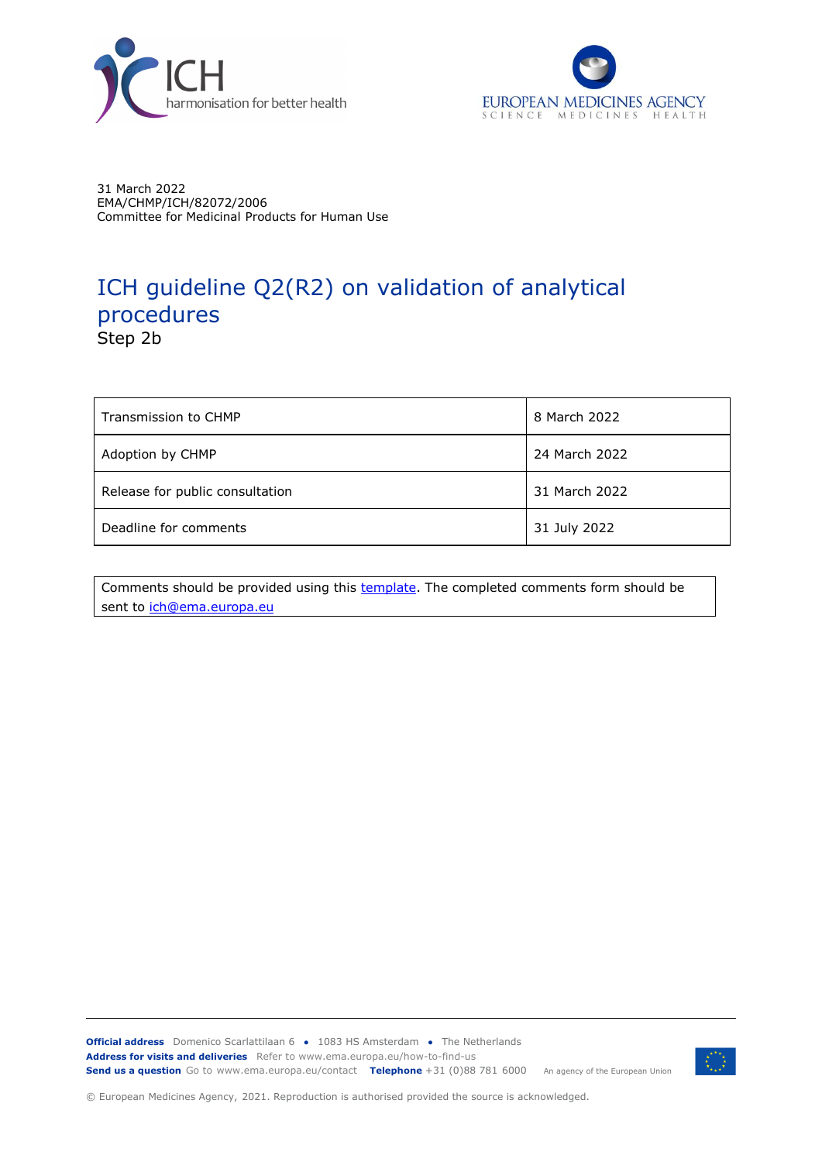



31 March 2022 EMA/CHMP/ICH/82072/2006 Committee for Medicinal Products for Human Use

# ICH guideline Q2(R2) on validation of analytical procedures Step 2b

| Transmission to CHMP            | 8 March 2022  |
|---------------------------------|---------------|
| Adoption by CHMP                | 24 March 2022 |
| Release for public consultation | 31 March 2022 |
| Deadline for comments           | 31 July 2022  |

Comments should be provided using this [template.](https://www.ema.europa.eu/documents/template-form/form-submission-comments-ich-guidelines_en.doc) The completed comments form should be sent to [ich@ema.europa.eu](mailto:ich@ema.europa.eu)

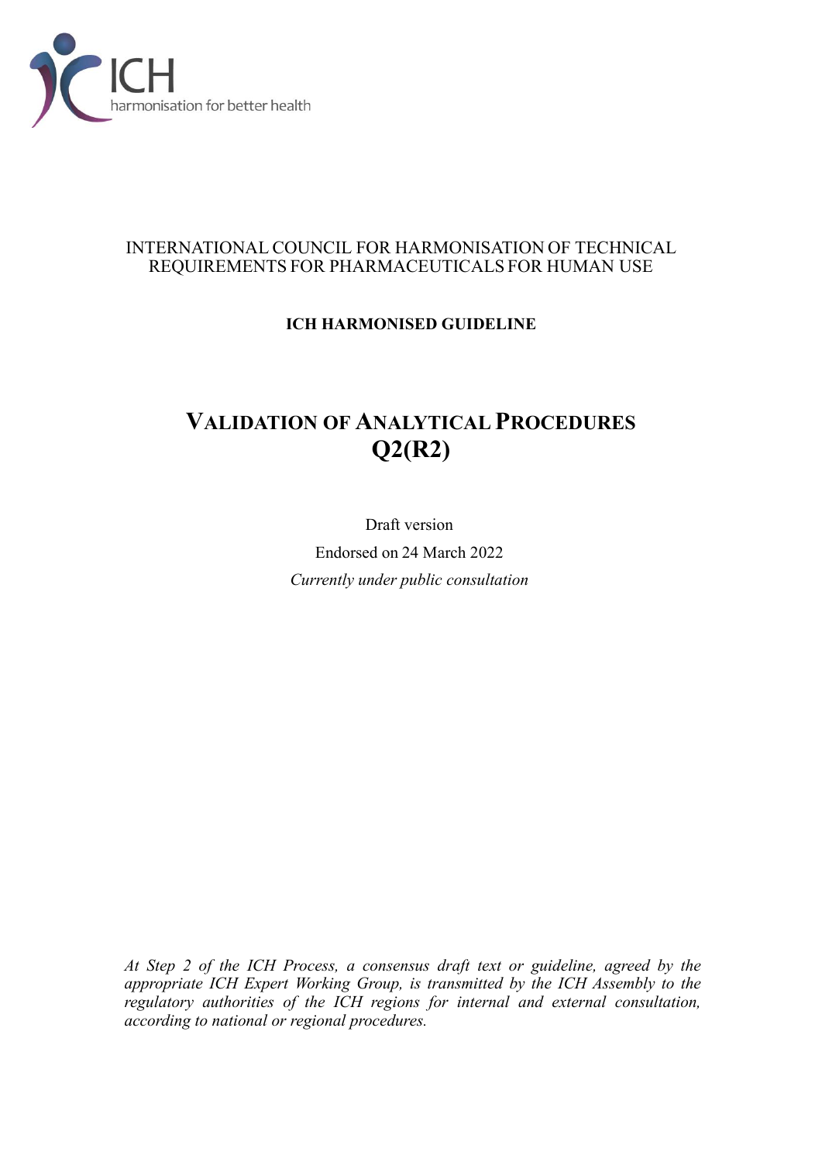

#### INTERNATIONAL COUNCIL FOR HARMONISATION OF TECHNICAL REQUIREMENTS FOR PHARMACEUTICALS FOR HUMAN USE

### **ICH HARMONISED GUIDELINE**

# **VALIDATION OF ANALYTICAL PROCEDURES Q2(R2)**

Draft version Endorsed on 24 March 2022 *Currently under public consultation*

*At Step 2 of the ICH Process, a consensus draft text or guideline, agreed by the appropriate ICH Expert Working Group, is transmitted by the ICH Assembly to the regulatory authorities of the ICH regions for internal and external consultation, according to national or regional procedures.*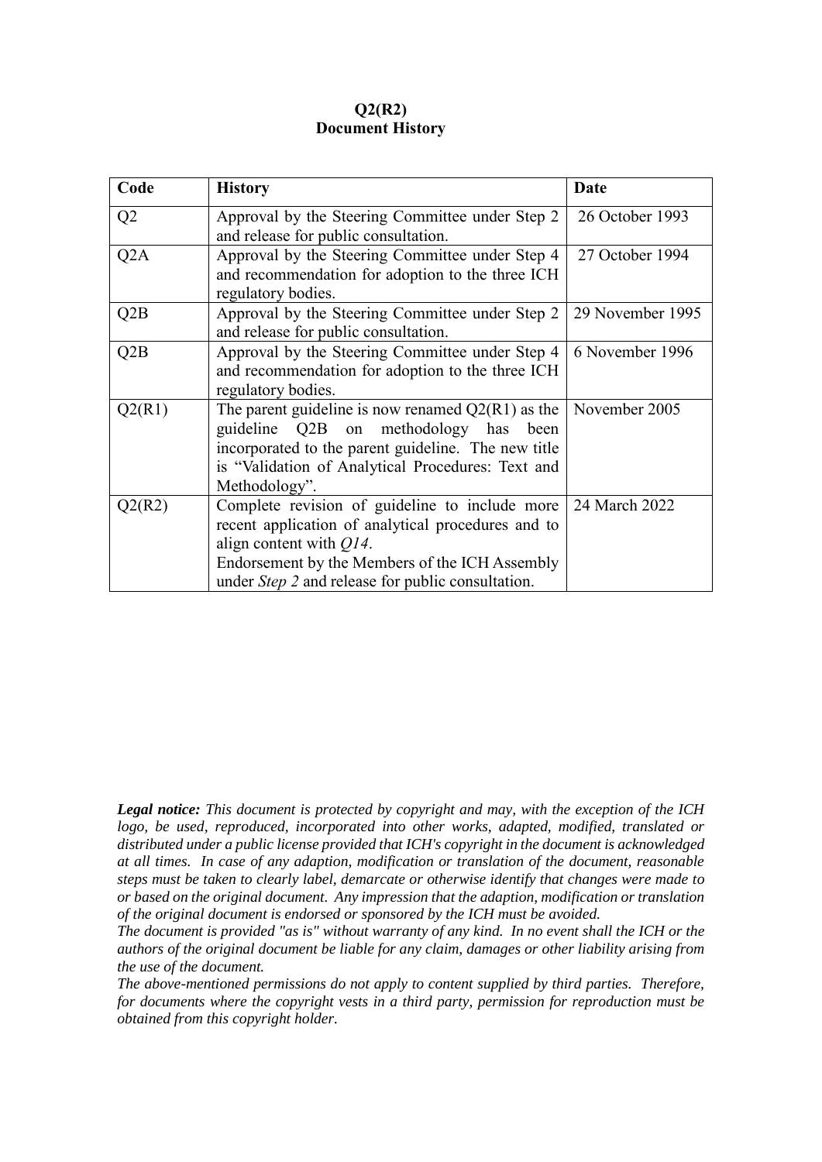#### **Q2(R2) Document History**

| Code             | <b>History</b>                                           | <b>Date</b>      |
|------------------|----------------------------------------------------------|------------------|
| Q <sub>2</sub>   | Approval by the Steering Committee under Step 2          | 26 October 1993  |
|                  | and release for public consultation.                     |                  |
| Q <sub>2</sub> A | Approval by the Steering Committee under Step 4          | 27 October 1994  |
|                  | and recommendation for adoption to the three ICH         |                  |
|                  | regulatory bodies.                                       |                  |
| Q2B              | Approval by the Steering Committee under Step 2          | 29 November 1995 |
|                  | and release for public consultation.                     |                  |
| Q2B              | Approval by the Steering Committee under Step 4          | 6 November 1996  |
|                  | and recommendation for adoption to the three ICH         |                  |
|                  | regulatory bodies.                                       |                  |
| Q2(R1)           | The parent guideline is now renamed $Q2(R1)$ as the      | November 2005    |
|                  | guideline Q2B on methodology has<br>been                 |                  |
|                  | incorporated to the parent guideline. The new title      |                  |
|                  | is "Validation of Analytical Procedures: Text and        |                  |
|                  | Methodology".                                            |                  |
| Q2(R2)           | Complete revision of guideline to include more           | 24 March 2022    |
|                  | recent application of analytical procedures and to       |                  |
|                  | align content with $Q14$ .                               |                  |
|                  | Endorsement by the Members of the ICH Assembly           |                  |
|                  | under <i>Step 2</i> and release for public consultation. |                  |

*Legal notice: This document is protected by copyright and may, with the exception of the ICH logo, be used, reproduced, incorporated into other works, adapted, modified, translated or distributed under a public license provided that ICH's copyright in the document is acknowledged at all times. In case of any adaption, modification or translation of the document, reasonable steps must be taken to clearly label, demarcate or otherwise identify that changes were made to or based on the original document. Any impression that the adaption, modification or translation of the original document is endorsed or sponsored by the ICH must be avoided.*

*The document is provided "as is" without warranty of any kind. In no event shall the ICH or the authors of the original document be liable for any claim, damages or other liability arising from the use of the document.*

*The above-mentioned permissions do not apply to content supplied by third parties. Therefore, for documents where the copyright vests in a third party, permission for reproduction must be obtained from this copyright holder.*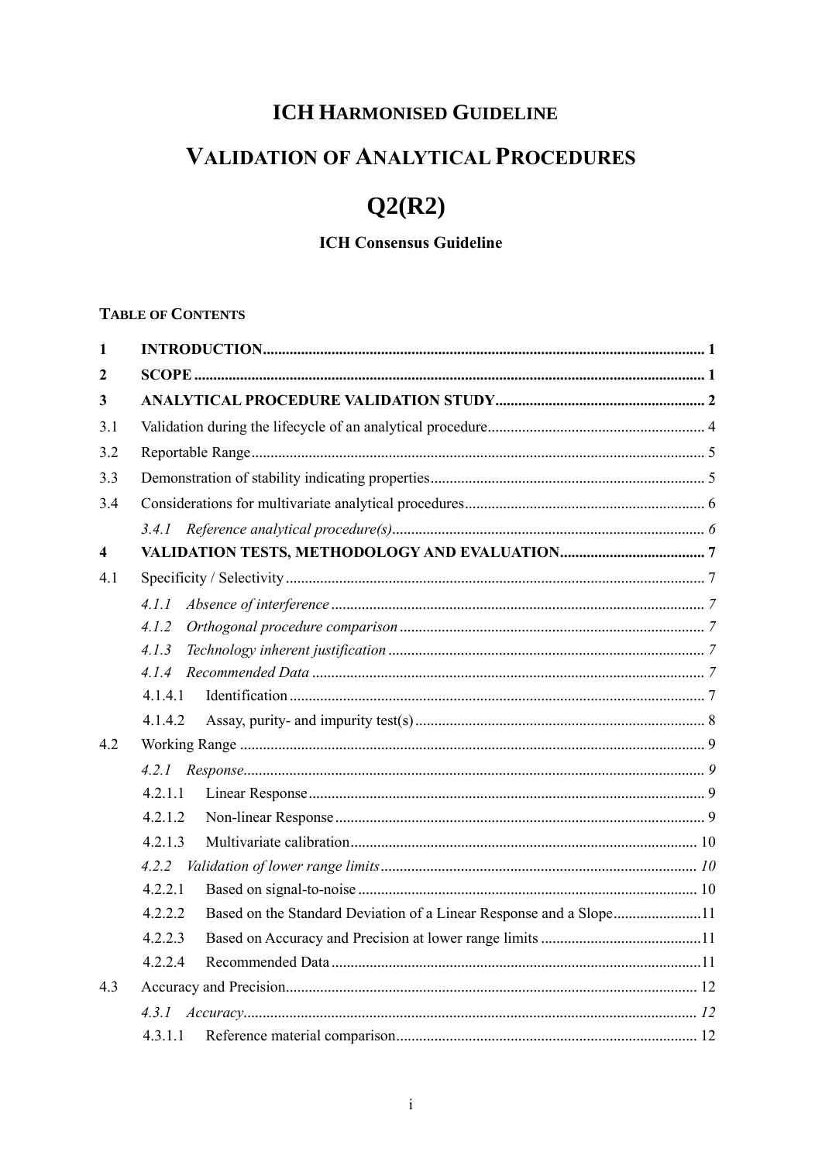# **ICH HARMONISED GUIDELINE**

# **VALIDATION OF ANALYTICAL PROCEDURES**

# $Q2(R2)$

### **ICH Consensus Guideline**

#### **TABLE OF CONTENTS**

| $\mathbf{1}$ |                                                                               |
|--------------|-------------------------------------------------------------------------------|
| $\mathbf{2}$ |                                                                               |
| 3            |                                                                               |
| 3.1          |                                                                               |
| 3.2          |                                                                               |
| 3.3          |                                                                               |
| 3.4          |                                                                               |
|              |                                                                               |
| 4            |                                                                               |
| 4.1          |                                                                               |
|              | 4.1.1                                                                         |
|              | 4.1.2                                                                         |
|              | 4.1.3                                                                         |
|              |                                                                               |
|              | 4.1.4.1                                                                       |
|              | 4.1.4.2                                                                       |
| 4.2          |                                                                               |
|              |                                                                               |
|              | 4.2.1.1                                                                       |
|              | 4.2.1.2                                                                       |
|              | 4.2.1.3                                                                       |
|              |                                                                               |
|              | 4.2.2.1                                                                       |
|              | 4.2.2.2<br>Based on the Standard Deviation of a Linear Response and a Slope11 |
|              | 4.2.2.3                                                                       |
|              | 4.2.2.4                                                                       |
| 4.3          |                                                                               |
|              |                                                                               |
|              | 4.3.1.1                                                                       |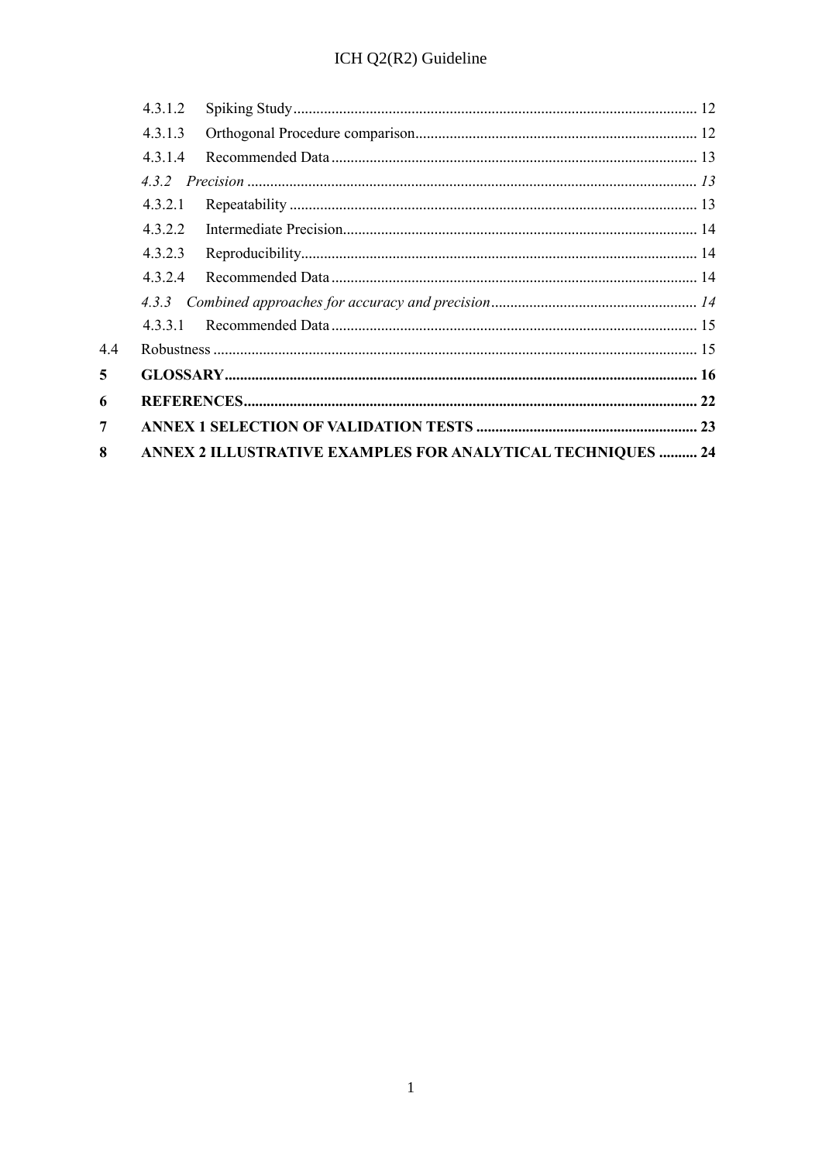|     | 4.3.1.2 |                                                                    |  |
|-----|---------|--------------------------------------------------------------------|--|
|     | 4.3.1.3 |                                                                    |  |
|     | 4.3.1.4 |                                                                    |  |
|     |         |                                                                    |  |
|     | 4.3.2.1 |                                                                    |  |
|     | 4.3.2.2 |                                                                    |  |
|     | 4.3.2.3 |                                                                    |  |
|     | 4.3.2.4 |                                                                    |  |
|     | 4.3.3   |                                                                    |  |
|     | 4.3.3.1 |                                                                    |  |
| 4.4 |         |                                                                    |  |
| 5   |         |                                                                    |  |
| 6   |         |                                                                    |  |
| 7   |         |                                                                    |  |
| 8   |         | <b>ANNEX 2 ILLUSTRATIVE EXAMPLES FOR ANALYTICAL TECHNIQUES  24</b> |  |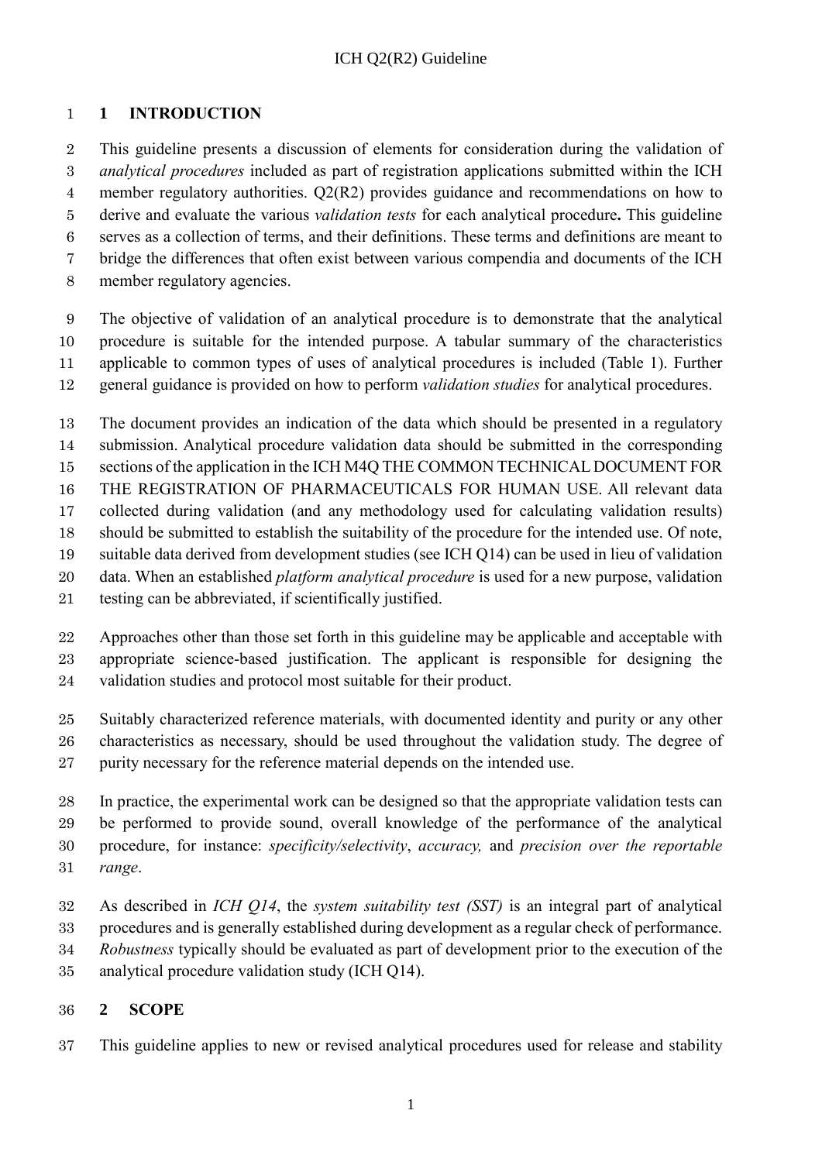### <span id="page-5-0"></span>**1 INTRODUCTION**

 This guideline presents a discussion of elements for consideration during the validation of *analytical procedures* included as part of registration applications submitted within the ICH member regulatory authorities. Q2(R2) provides guidance and recommendations on how to derive and evaluate the various *validation tests* for each analytical procedure**.** This guideline serves as a collection of terms, and their definitions. These terms and definitions are meant to bridge the differences that often exist between various compendia and documents of the ICH member regulatory agencies.

 The objective of validation of an analytical procedure is to demonstrate that the analytical procedure is suitable for the intended purpose. A tabular summary of the characteristics applicable to common types of uses of analytical procedures is included (Table 1). Further general guidance is provided on how to perform *validation studies* for analytical procedures.

 The document provides an indication of the data which should be presented in a regulatory submission. Analytical procedure validation data should be submitted in the corresponding sections of the application in the ICH M4Q THE COMMON TECHNICAL DOCUMENT FOR THE REGISTRATION OF PHARMACEUTICALS FOR HUMAN USE. All relevant data collected during validation (and any methodology used for calculating validation results) should be submitted to establish the suitability of the procedure for the intended use. Of note, suitable data derived from development studies (see ICH Q14) can be used in lieu of validation data. When an established *platform analytical procedure* is used for a new purpose, validation testing can be abbreviated, if scientifically justified.

 Approaches other than those set forth in this guideline may be applicable and acceptable with appropriate science-based justification. The applicant is responsible for designing the validation studies and protocol most suitable for their product.

 Suitably characterized reference materials, with documented identity and purity or any other characteristics as necessary, should be used throughout the validation study. The degree of 27 purity necessary for the reference material depends on the intended use.

 In practice, the experimental work can be designed so that the appropriate validation tests can be performed to provide sound, overall knowledge of the performance of the analytical procedure, for instance: *specificity/selectivity*, *accuracy,* and *precision over the reportable range*.

 As described in *ICH Q14*, the *system suitability test (SST)* is an integral part of analytical procedures and is generally established during development as a regular check of performance. *Robustness* typically should be evaluated as part of development prior to the execution of the analytical procedure validation study (ICH Q14).

### <span id="page-5-1"></span>**2 SCOPE**

This guideline applies to new or revised analytical procedures used for release and stability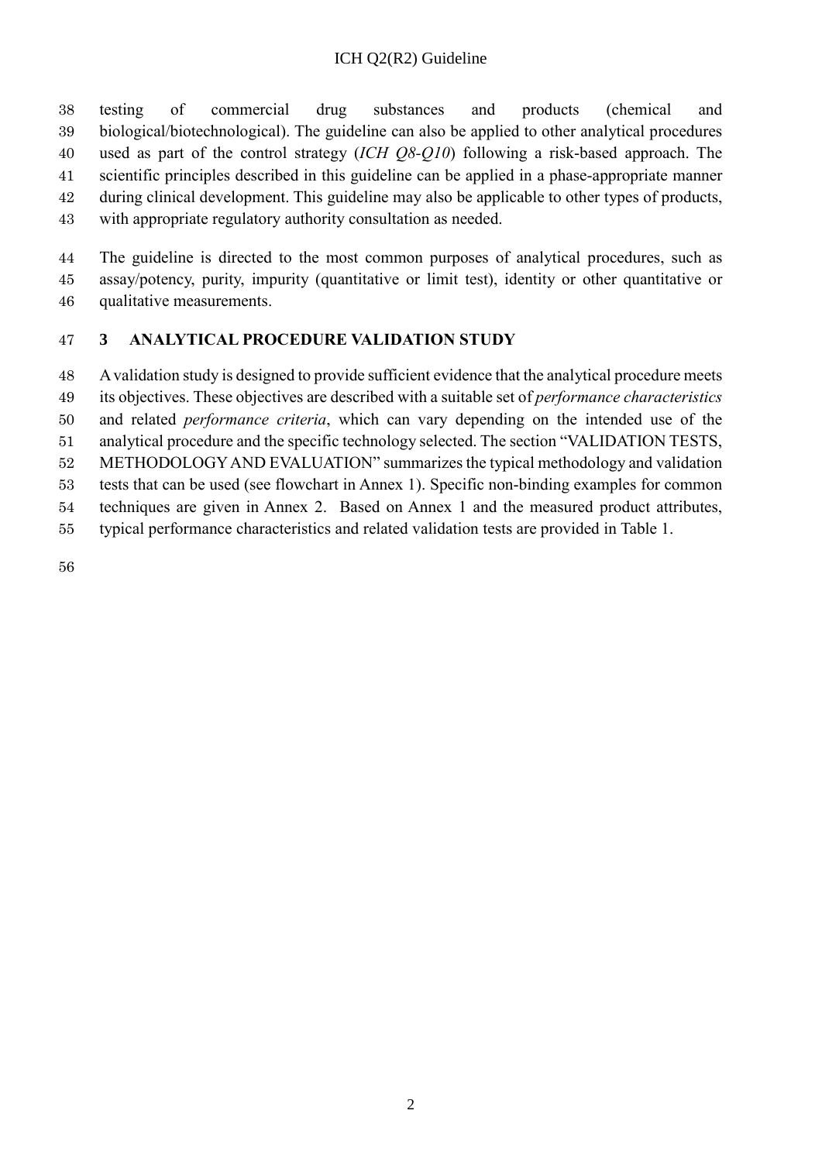testing of commercial drug substances and products (chemical and biological/biotechnological). The guideline can also be applied to other analytical procedures used as part of the control strategy (*ICH Q8-Q10*) following a risk-based approach. The scientific principles described in this guideline can be applied in a phase-appropriate manner during clinical development. This guideline may also be applicable to other types of products, with appropriate regulatory authority consultation as needed.

 The guideline is directed to the most common purposes of analytical procedures, such as assay/potency, purity, impurity (quantitative or limit test), identity or other quantitative or qualitative measurements.

### <span id="page-6-0"></span>**3 ANALYTICAL PROCEDURE VALIDATION STUDY**

 Avalidation study is designed to provide sufficient evidence that the analytical procedure meets its objectives. These objectives are described with a suitable set of *performance characteristics*

and related *performance criteria*, which can vary depending on the intended use of the

analytical procedure and the specific technology selected. The section "VALIDATION TESTS,

METHODOLOGYAND EVALUATION" summarizes the typical methodology and validation

tests that can be used (see flowchart in Annex 1). Specific non-binding examples for common

techniques are given in Annex 2. Based on Annex 1 and the measured product attributes,

typical performance characteristics and related validation tests are provided in Table 1.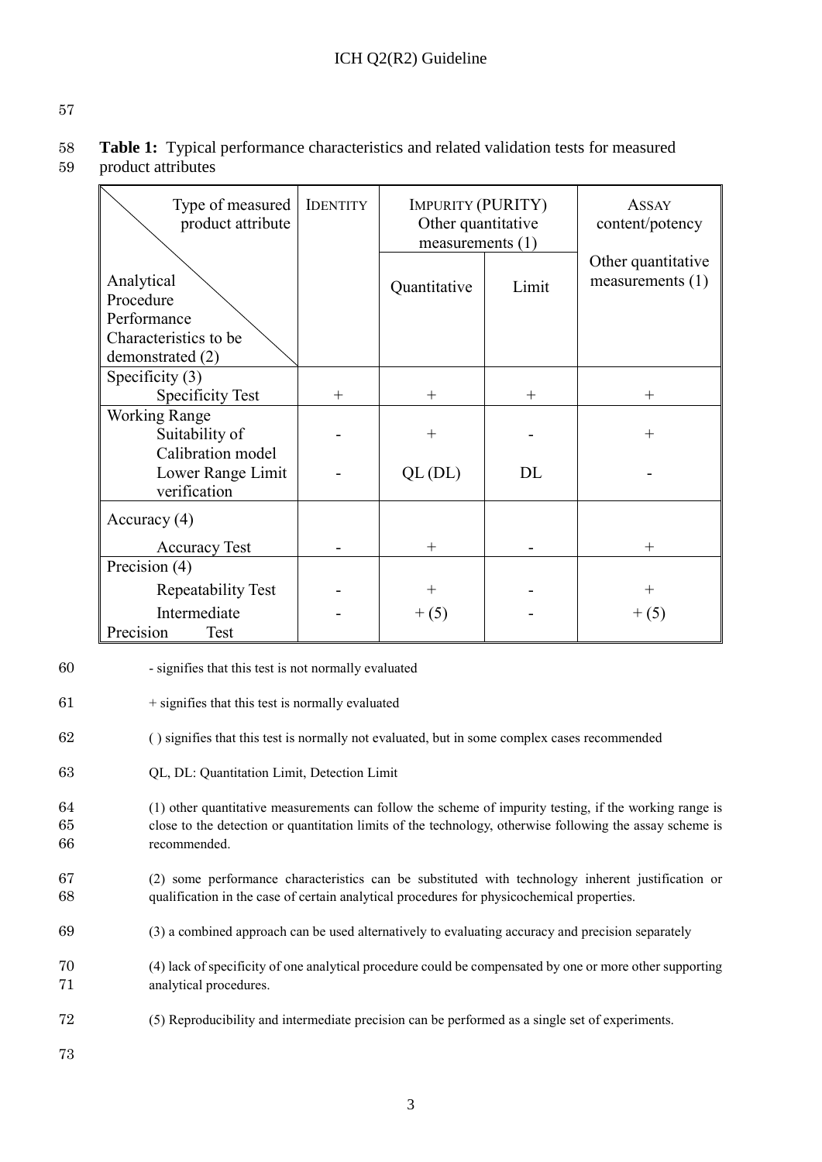57

58 **Table 1:** Typical performance characteristics and related validation tests for measured 59 product attributes

| Type of measured<br>product attribute                  | <b>IDENTITY</b> | <b>IMPURITY (PURITY)</b><br>Other quantitative<br>measurements $(1)$ |       | <b>ASSAY</b><br>content/potency          |
|--------------------------------------------------------|-----------------|----------------------------------------------------------------------|-------|------------------------------------------|
| Analytical<br>Procedure<br>Performance                 |                 | Quantitative                                                         | Limit | Other quantitative<br>measurements $(1)$ |
| Characteristics to be<br>demonstrated (2)              |                 |                                                                      |       |                                          |
| Specificity $(3)$                                      |                 |                                                                      |       |                                          |
| <b>Specificity Test</b>                                | $+$             | $+$                                                                  | $+$   | $^{+}$                                   |
| <b>Working Range</b><br>Suitability of                 |                 | $^{+}$                                                               |       | $\,+\,$                                  |
| Calibration model<br>Lower Range Limit<br>verification |                 | $QL$ (DL)                                                            | DL    |                                          |
| Accuracy $(4)$                                         |                 |                                                                      |       |                                          |
| <b>Accuracy Test</b>                                   |                 | $^{+}$                                                               |       | $^{+}$                                   |
| Precision (4)                                          |                 |                                                                      |       |                                          |
| Repeatability Test                                     |                 | $^+$                                                                 |       | $^{+}$                                   |
| Intermediate<br>Precision<br>Test                      |                 | $+ (5)$                                                              |       | $+(5)$                                   |

- 60 signifies that this test is not normally evaluated
- $61$  + signifies that this test is normally evaluated
- 62 ( ) signifies that this test is normally not evaluated, but in some complex cases recommended
- 63 QL, DL: Quantitation Limit, Detection Limit
- 64 (1) other quantitative measurements can follow the scheme of impurity testing, if the working range is 65 close to the detection or quantitation limits of the technology, otherwise following the assay scheme is 66 recommended.
- 67 (2) some performance characteristics can be substituted with technology inherent justification or 68 qualification in the case of certain analytical procedures for physicochemical properties.
- 69 (3) a combined approach can be used alternatively to evaluating accuracy and precision separately
- 70 (4) lack of specificity of one analytical procedure could be compensated by one or more other supporting 71 analytical procedures.
- 72 (5) Reproducibility and intermediate precision can be performed as a single set of experiments.
- 73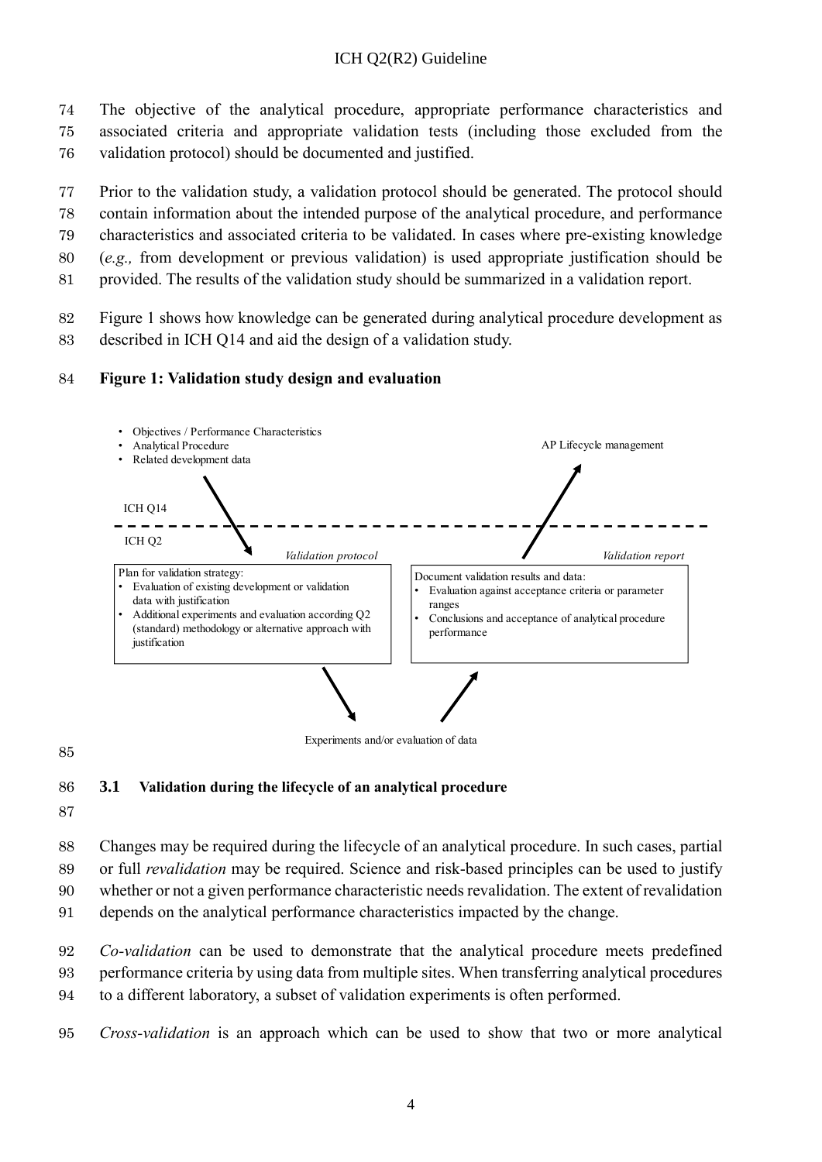- 74 The objective of the analytical procedure, appropriate performance characteristics and 75 associated criteria and appropriate validation tests (including those excluded from the
- 76 validation protocol) should be documented and justified.
- 77 Prior to the validation study, a validation protocol should be generated. The protocol should
- 78 contain information about the intended purpose of the analytical procedure, and performance
- 79 characteristics and associated criteria to be validated. In cases where pre-existing knowledge
- 80 (*e.g.,* from development or previous validation) is used appropriate justification should be
- 81 provided. The results of the validation study should be summarized in a validation report.
- 82 Figure 1 shows how knowledge can be generated during analytical procedure development as
- 83 described in ICH Q14 and aid the design of a validation study.

### 84 **Figure 1: Validation study design and evaluation**



Experiments and/or evaluation of data

#### 85

### <span id="page-8-0"></span>86 **3.1 Validation during the lifecycle of an analytical procedure**

87

88 Changes may be required during the lifecycle of an analytical procedure. In such cases, partial

- 89 or full *revalidation* may be required. Science and risk-based principles can be used to justify
- 90 whether or not a given performance characteristic needsrevalidation. The extent of revalidation
- 91 depends on the analytical performance characteristics impacted by the change.
- 92 *Co-validation* can be used to demonstrate that the analytical procedure meets predefined 93 performance criteria by using data from multiple sites. When transferring analytical procedures 94 to a different laboratory, a subset of validation experiments is often performed.
- 95 *Cross-validation* is an approach which can be used to show that two or more analytical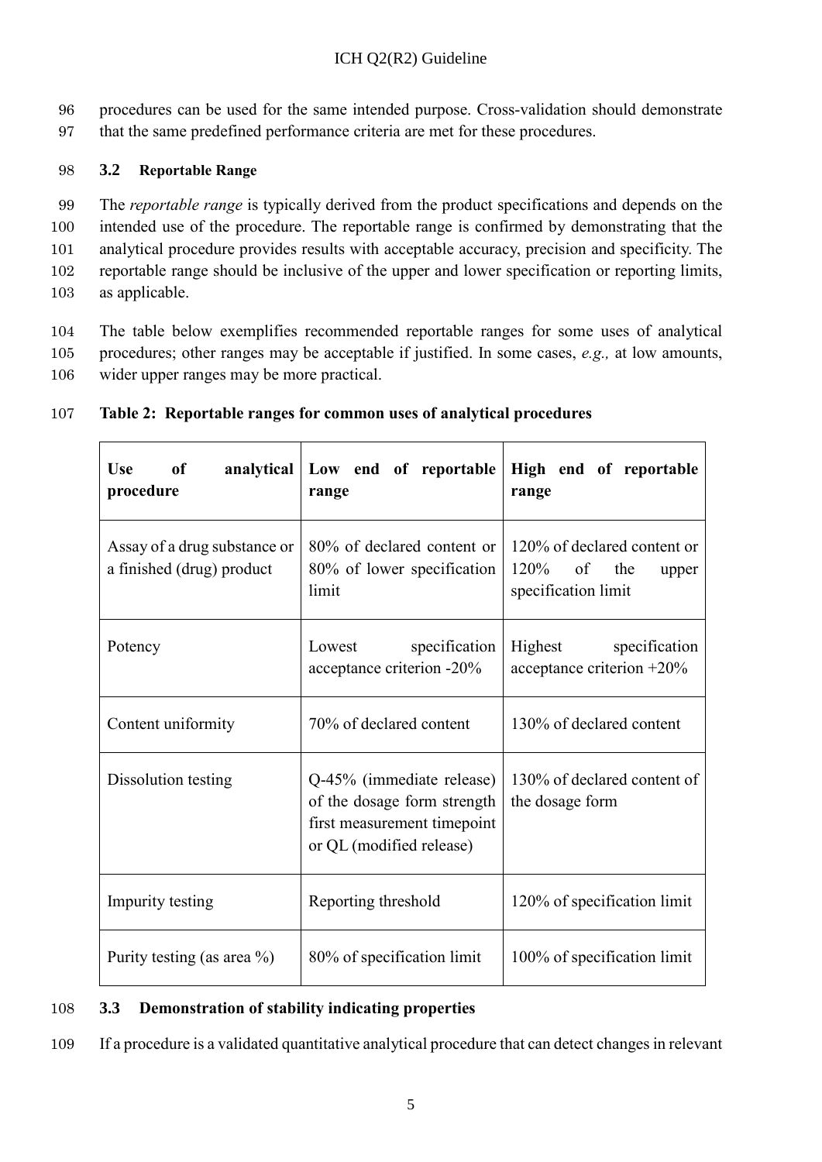96 procedures can be used for the same intended purpose. Cross-validation should demonstrate 97 that the same predefined performance criteria are met for these procedures.

### <span id="page-9-0"></span>98 **3.2 Reportable Range**

 The *reportable range* is typically derived from the product specifications and depends on the intended use of the procedure. The reportable range is confirmed by demonstrating that the analytical procedure provides results with acceptable accuracy, precision and specificity. The reportable range should be inclusive of the upper and lower specification or reporting limits, as applicable.

104 The table below exemplifies recommended reportable ranges for some uses of analytical 105 procedures; other ranges may be acceptable if justified. In some cases, *e.g.,* at low amounts, 106 wider upper ranges may be more practical.

| <b>Use</b><br>$\bullet$ of<br>analytical<br>procedure     | Low end of reportable<br>range                                                                                      | High end of reportable<br>range                                               |
|-----------------------------------------------------------|---------------------------------------------------------------------------------------------------------------------|-------------------------------------------------------------------------------|
| Assay of a drug substance or<br>a finished (drug) product | 80% of declared content or<br>80% of lower specification<br>limit                                                   | 120% of declared content or<br>$120\%$ of the<br>upper<br>specification limit |
| Potency                                                   | specification<br>Lowest<br>acceptance criterion -20%                                                                | Highest specification<br>acceptance criterion $+20\%$                         |
| Content uniformity                                        | 70% of declared content                                                                                             | 130% of declared content                                                      |
| Dissolution testing                                       | Q-45% (immediate release)<br>of the dosage form strength<br>first measurement timepoint<br>or QL (modified release) | 130% of declared content of<br>the dosage form                                |
| Impurity testing                                          | Reporting threshold                                                                                                 | 120% of specification limit                                                   |
| Purity testing (as area $\%$ )                            | 80% of specification limit                                                                                          | 100% of specification limit                                                   |

### 107 **Table 2: Reportable ranges for common uses of analytical procedures**

### <span id="page-9-1"></span>108 **3.3 Demonstration of stability indicating properties**

109 If a procedure is a validated quantitative analytical procedure that can detect changes in relevant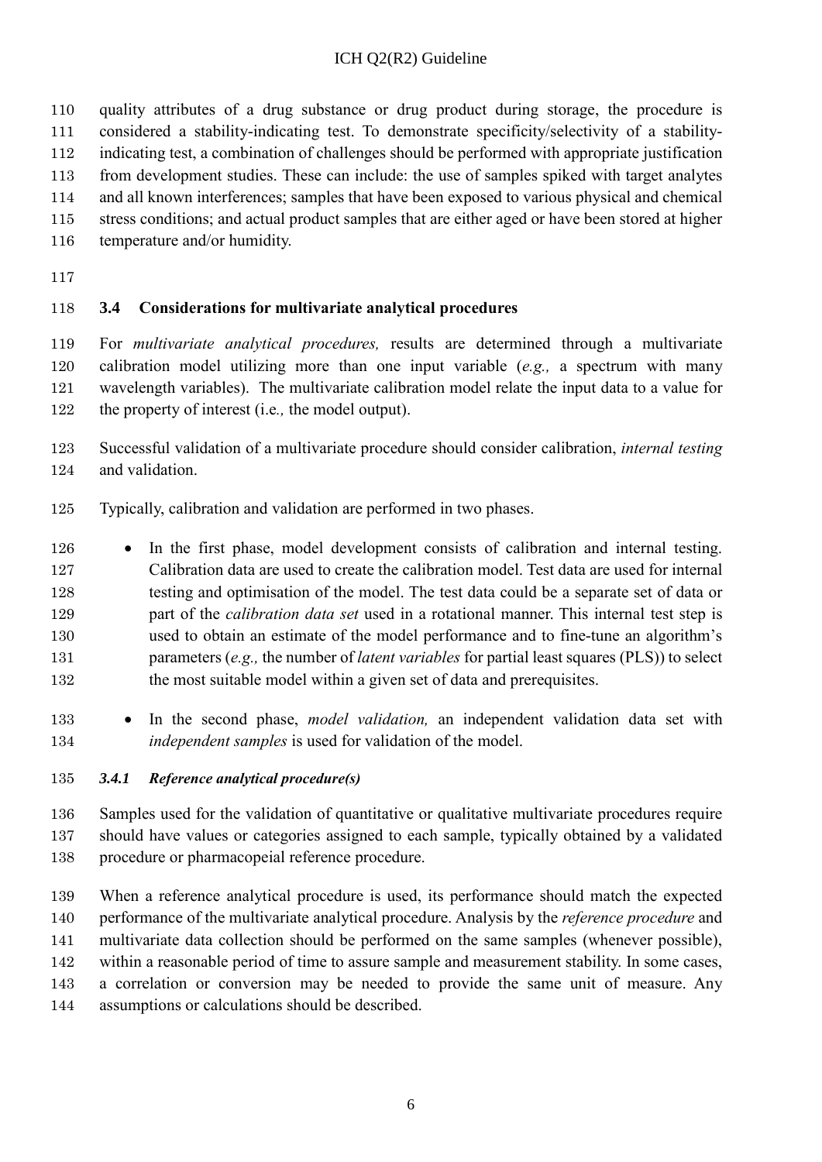- quality attributes of a drug substance or drug product during storage, the procedure is
- considered a stability-indicating test. To demonstrate specificity/selectivity of a stability-
- indicating test, a combination of challenges should be performed with appropriate justification
- from development studies. These can include: the use of samples spiked with target analytes and all known interferences; samples that have been exposed to various physical and chemical
- stress conditions; and actual product samples that are either aged or have been stored at higher
- temperature and/or humidity.
- 

### <span id="page-10-0"></span>**3.4 Considerations for multivariate analytical procedures**

 For *multivariate analytical procedures,* results are determined through a multivariate calibration model utilizing more than one input variable (*e.g.,* a spectrum with many wavelength variables). The multivariate calibration model relate the input data to a value for the property of interest (i.e*.,* the model output).

- Successful validation of a multivariate procedure should consider calibration, *internal testing* and validation.
- Typically, calibration and validation are performed in two phases.
- In the first phase, model development consists of calibration and internal testing. Calibration data are used to create the calibration model. Test data are used for internal testing and optimisation of the model. The test data could be a separate set of data or part of the *calibration data set* used in a rotational manner. This internal test step is used to obtain an estimate of the model performance and to fine-tune an algorithm's parameters (*e.g.,* the number of *latent variables* for partial least squares (PLS)) to select 132 the most suitable model within a given set of data and prerequisites.
- In the second phase, *model validation,* an independent validation data set with *independent samples* is used for validation of the model.

### <span id="page-10-1"></span>*3.4.1 Reference analytical procedure(s)*

 Samples used for the validation of quantitative or qualitative multivariate procedures require should have values or categories assigned to each sample, typically obtained by a validated procedure or pharmacopeial reference procedure.

 When a reference analytical procedure is used, its performance should match the expected performance of the multivariate analytical procedure. Analysis by the *reference procedure* and multivariate data collection should be performed on the same samples (whenever possible), within a reasonable period of time to assure sample and measurement stability. In some cases, a correlation or conversion may be needed to provide the same unit of measure. Any assumptions or calculations should be described.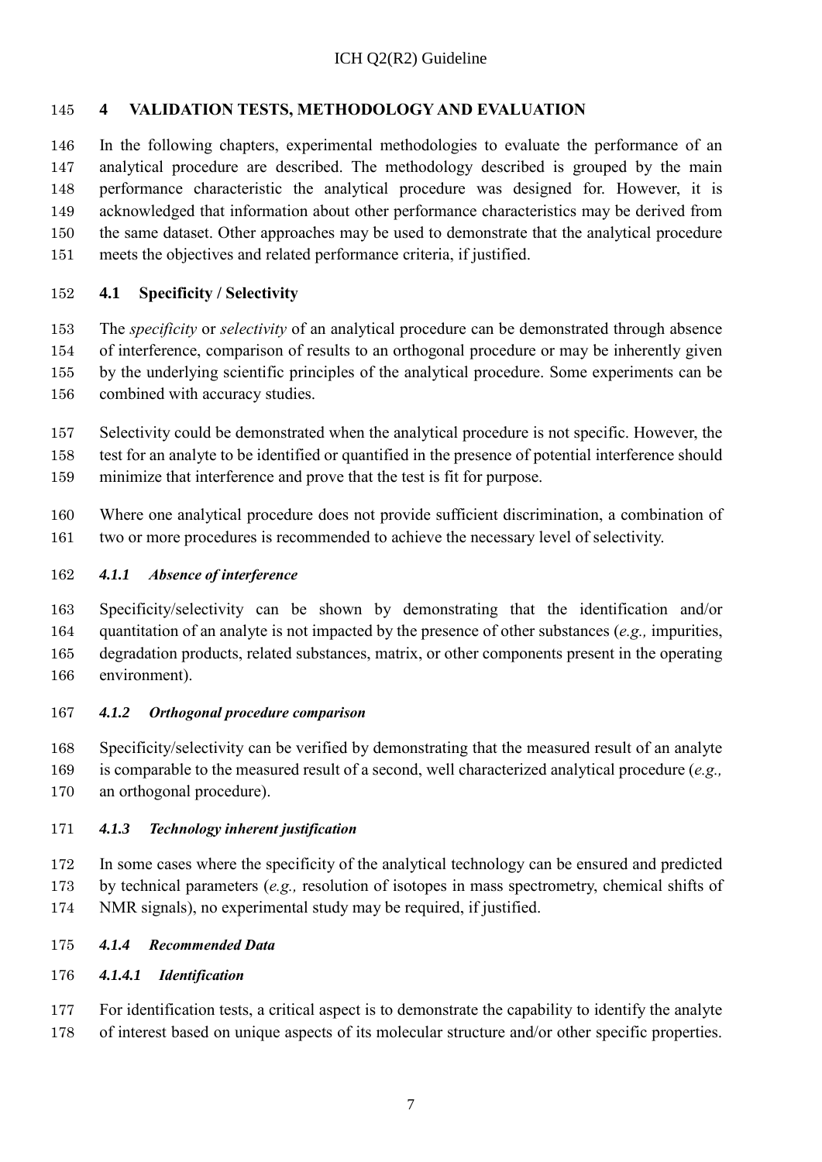### <span id="page-11-0"></span>**4 VALIDATION TESTS, METHODOLOGY AND EVALUATION**

 In the following chapters, experimental methodologies to evaluate the performance of an analytical procedure are described. The methodology described is grouped by the main performance characteristic the analytical procedure was designed for. However, it is acknowledged that information about other performance characteristics may be derived from the same dataset. Other approaches may be used to demonstrate that the analytical procedure meets the objectives and related performance criteria, if justified.

#### <span id="page-11-1"></span>**4.1 Specificity / Selectivity**

 The *specificity* or *selectivity* of an analytical procedure can be demonstrated through absence of interference, comparison of results to an orthogonal procedure or may be inherently given by the underlying scientific principles of the analytical procedure. Some experiments can be 156 combined with accuracy studies.

 Selectivity could be demonstrated when the analytical procedure is not specific. However, the test for an analyte to be identified or quantified in the presence of potential interference should minimize that interference and prove that the test is fit for purpose.

 Where one analytical procedure does not provide sufficient discrimination, a combination of two or more procedures is recommended to achieve the necessary level of selectivity.

#### <span id="page-11-2"></span>*4.1.1 Absence of interference*

 Specificity/selectivity can be shown by demonstrating that the identification and/or quantitation of an analyte is not impacted by the presence of other substances (*e.g.,* impurities, degradation products, related substances, matrix, or other components present in the operating environment).

#### <span id="page-11-3"></span>*4.1.2 Orthogonal procedure comparison*

 Specificity/selectivity can be verified by demonstrating that the measured result of an analyte is comparable to the measured result of a second, well characterized analytical procedure (*e.g.,* an orthogonal procedure).

#### <span id="page-11-4"></span>*4.1.3 Technology inherent justification*

 In some cases where the specificity of the analytical technology can be ensured and predicted by technical parameters (*e.g.,* resolution of isotopes in mass spectrometry, chemical shifts of NMR signals), no experimental study may be required, if justified.

- <span id="page-11-5"></span>*4.1.4 Recommended Data*
- <span id="page-11-6"></span>*4.1.4.1 Identification*

 For identification tests, a critical aspect is to demonstrate the capability to identify the analyte of interest based on unique aspects of its molecular structure and/or other specific properties.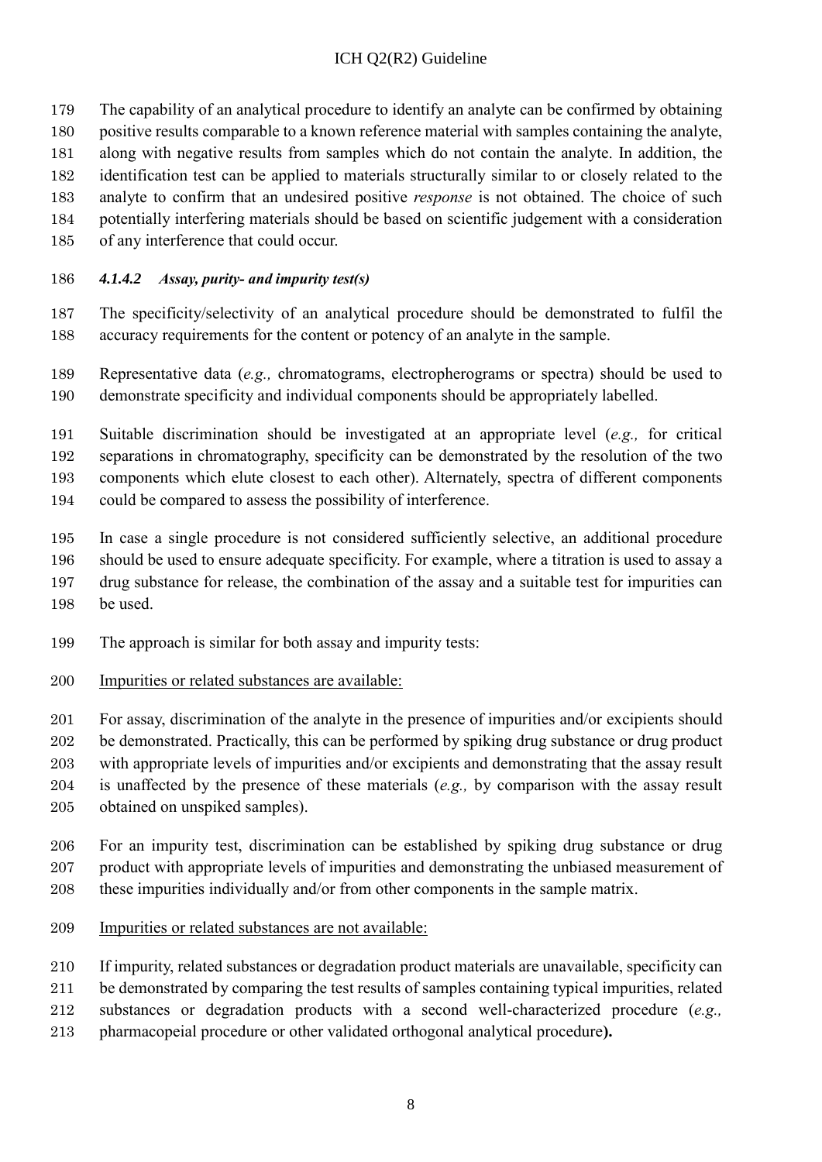- The capability of an analytical procedure to identify an analyte can be confirmed by obtaining
- positive results comparable to a known reference material with samples containing the analyte,
- along with negative results from samples which do not contain the analyte. In addition, the
- identification test can be applied to materials structurally similar to or closely related to the
- analyte to confirm that an undesired positive *response* is not obtained. The choice of such potentially interfering materials should be based on scientific judgement with a consideration
- of any interference that could occur.
- <span id="page-12-0"></span>*4.1.4.2 Assay, purity- and impurity test(s)*
- The specificity/selectivity of an analytical procedure should be demonstrated to fulfil the accuracy requirements for the content or potency of an analyte in the sample.
- Representative data (*e.g.,* chromatograms, electropherograms or spectra) should be used to demonstrate specificity and individual components should be appropriately labelled.
- Suitable discrimination should be investigated at an appropriate level (*e.g.,* for critical separations in chromatography, specificity can be demonstrated by the resolution of the two components which elute closest to each other). Alternately, spectra of different components could be compared to assess the possibility of interference.
- In case a single procedure is not considered sufficiently selective, an additional procedure should be used to ensure adequate specificity. For example, where a titration is used to assay a drug substance for release, the combination of the assay and a suitable test for impurities can be used.
- The approach is similar for both assay and impurity tests:
- Impurities or related substances are available:
- For assay, discrimination of the analyte in the presence of impurities and/or excipients should be demonstrated. Practically, this can be performed by spiking drug substance or drug product with appropriate levels of impurities and/or excipients and demonstrating that the assay result is unaffected by the presence of these materials (*e.g.,* by comparison with the assay result
- obtained on unspiked samples).
- For an impurity test, discrimination can be established by spiking drug substance or drug product with appropriate levels of impurities and demonstrating the unbiased measurement of these impurities individually and/or from other components in the sample matrix.
- Impurities or related substances are not available:
- If impurity, related substances or degradation product materials are unavailable, specificity can
- be demonstrated by comparing the test results of samples containing typical impurities, related
- substances or degradation products with a second well-characterized procedure (*e.g.,*
- pharmacopeial procedure or other validated orthogonal analytical procedure**).**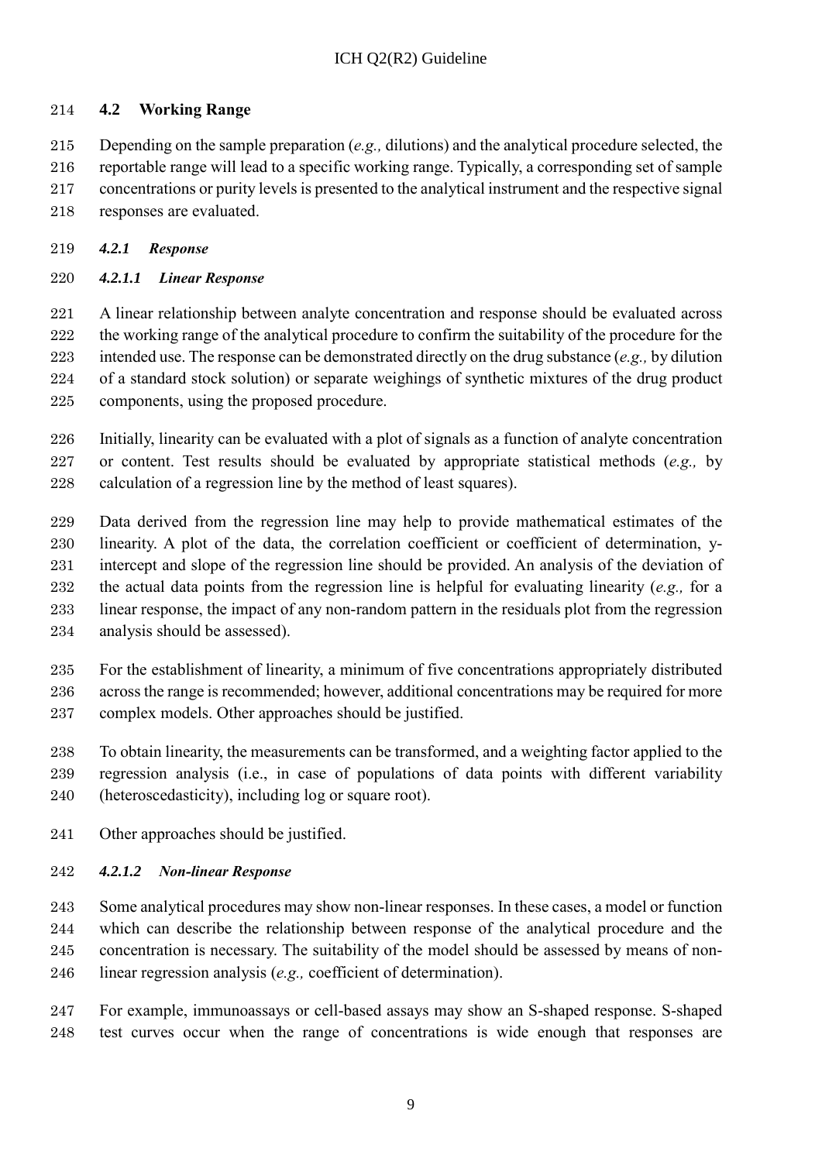#### <span id="page-13-0"></span>**4.2 Working Range**

 Depending on the sample preparation (*e.g.,* dilutions) and the analytical procedure selected, the reportable range will lead to a specific working range. Typically, a corresponding set of sample concentrations or purity levels is presented to the analytical instrument and the respective signal responses are evaluated.

- <span id="page-13-1"></span>*4.2.1 Response*
- <span id="page-13-2"></span>*4.2.1.1 Linear Response*

 A linear relationship between analyte concentration and response should be evaluated across 222 the working range of the analytical procedure to confirm the suitability of the procedure for the intended use. The response can be demonstrated directly on the drug substance (*e.g.,* by dilution of a standard stock solution) or separate weighings of synthetic mixtures of the drug product components, using the proposed procedure.

 Initially, linearity can be evaluated with a plot of signals as a function of analyte concentration or content. Test results should be evaluated by appropriate statistical methods (*e.g.,* by calculation of a regression line by the method of least squares).

- Data derived from the regression line may help to provide mathematical estimates of the linearity. A plot of the data, the correlation coefficient or coefficient of determination, y- intercept and slope of the regression line should be provided. An analysis of the deviation of the actual data points from the regression line is helpful for evaluating linearity (*e.g.,* for a linear response, the impact of any non-random pattern in the residuals plot from the regression analysis should be assessed).
- For the establishment of linearity, a minimum of five concentrations appropriately distributed across the range is recommended; however, additional concentrations may be required for more complex models. Other approaches should be justified.
- To obtain linearity, the measurements can be transformed, and a weighting factor applied to the regression analysis (i.e., in case of populations of data points with different variability (heteroscedasticity), including log or square root).
- Other approaches should be justified.

#### <span id="page-13-3"></span>*4.2.1.2 Non-linear Response*

- Some analytical procedures may show non-linear responses. In these cases, a model or function which can describe the relationship between response of the analytical procedure and the concentration is necessary. The suitability of the model should be assessed by means of non-linear regression analysis (*e.g.,* coefficient of determination).
- For example, immunoassays or cell-based assays may show an S-shaped response. S-shaped test curves occur when the range of concentrations is wide enough that responses are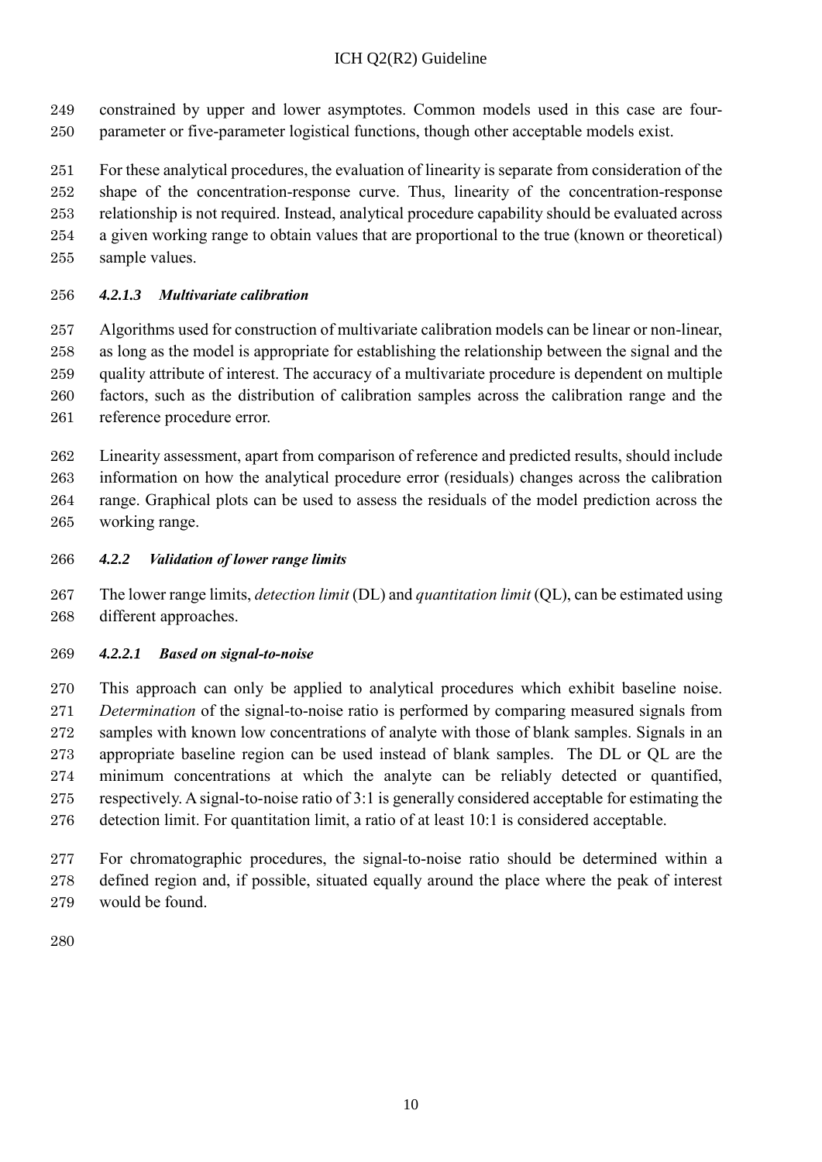- constrained by upper and lower asymptotes. Common models used in this case are four-parameter or five-parameter logistical functions, though other acceptable models exist.
- For these analytical procedures, the evaluation of linearity is separate from consideration of the shape of the concentration-response curve. Thus, linearity of the concentration-response relationship is not required. Instead, analytical procedure capability should be evaluated across a given working range to obtain values that are proportional to the true (known or theoretical) sample values.

### <span id="page-14-0"></span>*4.2.1.3 Multivariate calibration*

 Algorithms used for construction of multivariate calibration models can be linear or non-linear, as long as the model is appropriate for establishing the relationship between the signal and the quality attribute of interest. The accuracy of a multivariate procedure is dependent on multiple factors, such as the distribution of calibration samples across the calibration range and the reference procedure error.

 Linearity assessment, apart from comparison of reference and predicted results, should include information on how the analytical procedure error (residuals) changes across the calibration range. Graphical plots can be used to assess the residuals of the model prediction across the working range.

- <span id="page-14-1"></span>*4.2.2 Validation of lower range limits*
- The lower range limits, *detection limit* (DL) and *quantitation limit* (QL), can be estimated using different approaches.

#### <span id="page-14-2"></span>*4.2.2.1 Based on signal-to-noise*

 This approach can only be applied to analytical procedures which exhibit baseline noise. *Determination* of the signal-to-noise ratio is performed by comparing measured signals from samples with known low concentrations of analyte with those of blank samples. Signals in an appropriate baseline region can be used instead of blank samples. The DL or QL are the minimum concentrations at which the analyte can be reliably detected or quantified, respectively. A signal-to-noise ratio of 3:1 is generally considered acceptable for estimating the detection limit. For quantitation limit, a ratio of at least 10:1 is considered acceptable.

 For chromatographic procedures, the signal-to-noise ratio should be determined within a defined region and, if possible, situated equally around the place where the peak of interest would be found.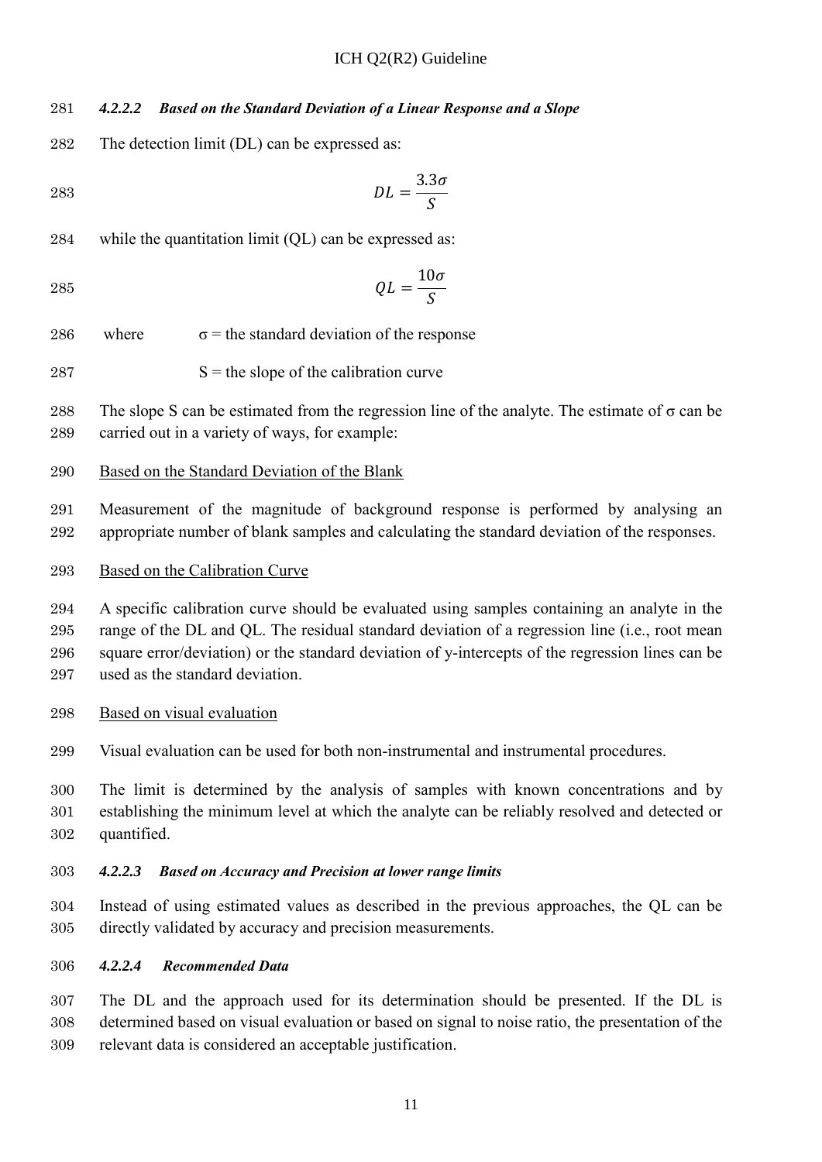#### <span id="page-15-0"></span>*4.2.2.2 Based on the Standard Deviation of a Linear Response and a Slope*

The detection limit (DL) can be expressed as:

$$
DL = \frac{3.3\sigma}{S}
$$

while the quantitation limit (QL) can be expressed as:

$$
QL = \frac{10\sigma}{S}
$$

286 where  $\sigma$  = the standard deviation of the response

$$
287 \t\t S = the slope of the calibration curve
$$

288 The slope S can be estimated from the regression line of the analyte. The estimate of  $\sigma$  can be carried out in a variety of ways, for example:

#### Based on the Standard Deviation of the Blank

 Measurement of the magnitude of background response is performed by analysing an appropriate number of blank samples and calculating the standard deviation of the responses.

#### Based on the Calibration Curve

 A specific calibration curve should be evaluated using samples containing an analyte in the range of the DL and QL. The residual standard deviation of a regression line (i.e., root mean square error/deviation) or the standard deviation of y-intercepts of the regression lines can be 297 used as the standard deviation.

- Based on visual evaluation
- Visual evaluation can be used for both non-instrumental and instrumental procedures.

 The limit is determined by the analysis of samples with known concentrations and by establishing the minimum level at which the analyte can be reliably resolved and detected or quantified.

#### <span id="page-15-1"></span>*4.2.2.3 Based on Accuracy and Precision at lower range limits*

 Instead of using estimated values as described in the previous approaches, the QL can be directly validated by accuracy and precision measurements.

#### <span id="page-15-2"></span>*4.2.2.4 Recommended Data*

 The DL and the approach used for its determination should be presented. If the DL is determined based on visual evaluation or based on signal to noise ratio, the presentation of the relevant data is considered an acceptable justification.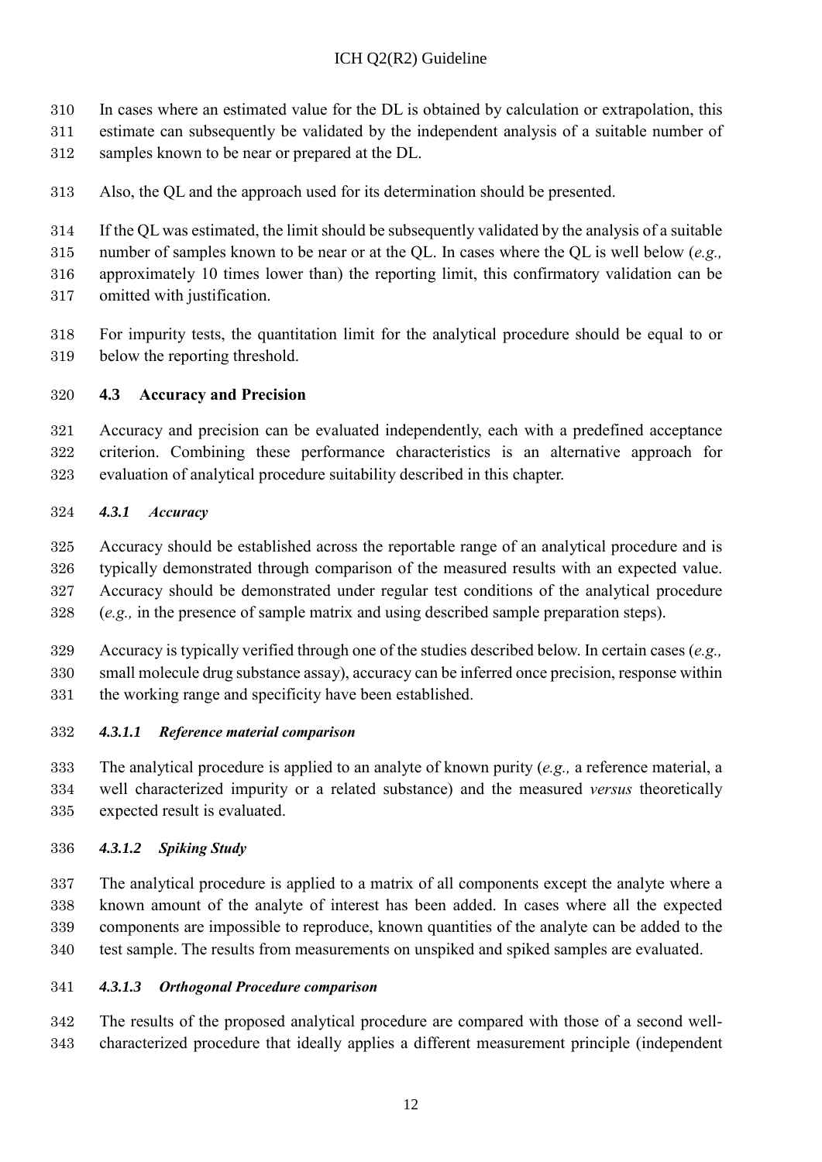- In cases where an estimated value for the DL is obtained by calculation or extrapolation, this
- estimate can subsequently be validated by the independent analysis of a suitable number of
- samples known to be near or prepared at the DL.
- Also, the QL and the approach used for its determination should be presented.
- If the QL was estimated, the limit should be subsequently validated by the analysis of a suitable

number of samples known to be near or at the QL. In cases where the QL is well below (*e.g.,*

approximately 10 times lower than) the reporting limit, this confirmatory validation can be

- omitted with justification.
- For impurity tests, the quantitation limit for the analytical procedure should be equal to or below the reporting threshold.

### <span id="page-16-0"></span>**4.3 Accuracy and Precision**

 Accuracy and precision can be evaluated independently, each with a predefined acceptance criterion. Combining these performance characteristics is an alternative approach for evaluation of analytical procedure suitability described in this chapter.

### <span id="page-16-1"></span>*4.3.1 Accuracy*

- Accuracy should be established across the reportable range of an analytical procedure and is typically demonstrated through comparison of the measured results with an expected value. Accuracy should be demonstrated under regular test conditions of the analytical procedure (*e.g.,* in the presence of sample matrix and using described sample preparation steps).
- Accuracy is typically verified through one of the studies described below. In certain cases (*e.g.,* small molecule drug substance assay), accuracy can be inferred once precision, response within the working range and specificity have been established.
- <span id="page-16-2"></span>*4.3.1.1 Reference material comparison*

 The analytical procedure is applied to an analyte of known purity (*e.g.,* a reference material, a well characterized impurity or a related substance) and the measured *versus* theoretically expected result is evaluated.

### <span id="page-16-3"></span>*4.3.1.2 Spiking Study*

 The analytical procedure is applied to a matrix of all components except the analyte where a known amount of the analyte of interest has been added. In cases where all the expected components are impossible to reproduce, known quantities of the analyte can be added to the test sample. The results from measurements on unspiked and spiked samples are evaluated.

### <span id="page-16-4"></span>*4.3.1.3 Orthogonal Procedure comparison*

 The results of the proposed analytical procedure are compared with those of a second well-characterized procedure that ideally applies a different measurement principle (independent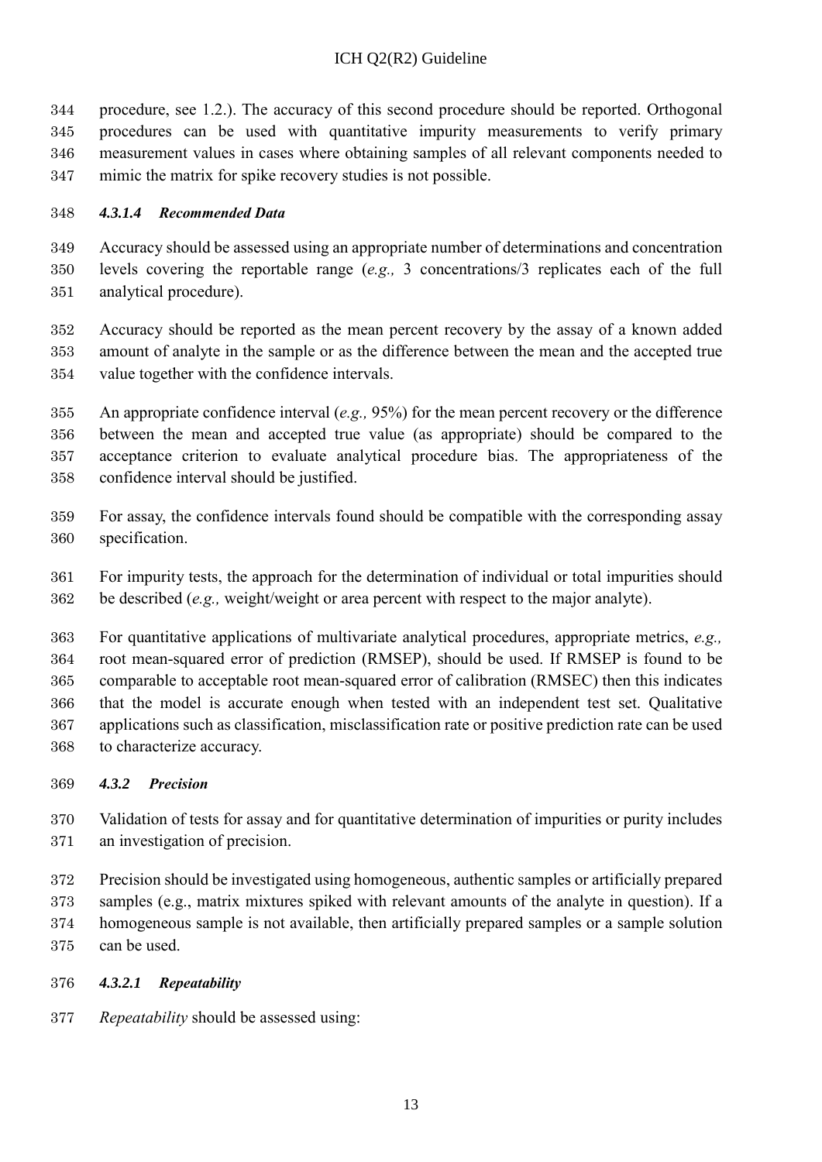procedure, see 1.2.). The accuracy of this second procedure should be reported. Orthogonal procedures can be used with quantitative impurity measurements to verify primary measurement values in cases where obtaining samples of all relevant components needed to mimic the matrix for spike recovery studies is not possible.

#### <span id="page-17-0"></span>*4.3.1.4 Recommended Data*

 Accuracy should be assessed using an appropriate number of determinations and concentration levels covering the reportable range (*e.g.,* 3 concentrations/3 replicates each of the full analytical procedure).

 Accuracy should be reported as the mean percent recovery by the assay of a known added amount of analyte in the sample or as the difference between the mean and the accepted true value together with the confidence intervals.

 An appropriate confidence interval (*e.g.,* 95%) for the mean percent recovery or the difference between the mean and accepted true value (as appropriate) should be compared to the acceptance criterion to evaluate analytical procedure bias. The appropriateness of the confidence interval should be justified.

- For assay, the confidence intervals found should be compatible with the corresponding assay specification.
- For impurity tests, the approach for the determination of individual or total impurities should be described (*e.g.,* weight/weight or area percent with respect to the major analyte).

 For quantitative applications of multivariate analytical procedures, appropriate metrics, *e.g.,* root mean-squared error of prediction (RMSEP), should be used. If RMSEP is found to be comparable to acceptable root mean-squared error of calibration (RMSEC) then this indicates that the model is accurate enough when tested with an independent test set. Qualitative applications such as classification, misclassification rate or positive prediction rate can be used to characterize accuracy.

#### <span id="page-17-1"></span>*4.3.2 Precision*

- Validation of tests for assay and for quantitative determination of impurities or purity includes an investigation of precision.
- Precision should be investigated using homogeneous, authentic samples or artificially prepared samples (e.g., matrix mixtures spiked with relevant amounts of the analyte in question). If a homogeneous sample is not available, then artificially prepared samples or a sample solution can be used.

#### <span id="page-17-2"></span>*4.3.2.1 Repeatability*

*Repeatability* should be assessed using: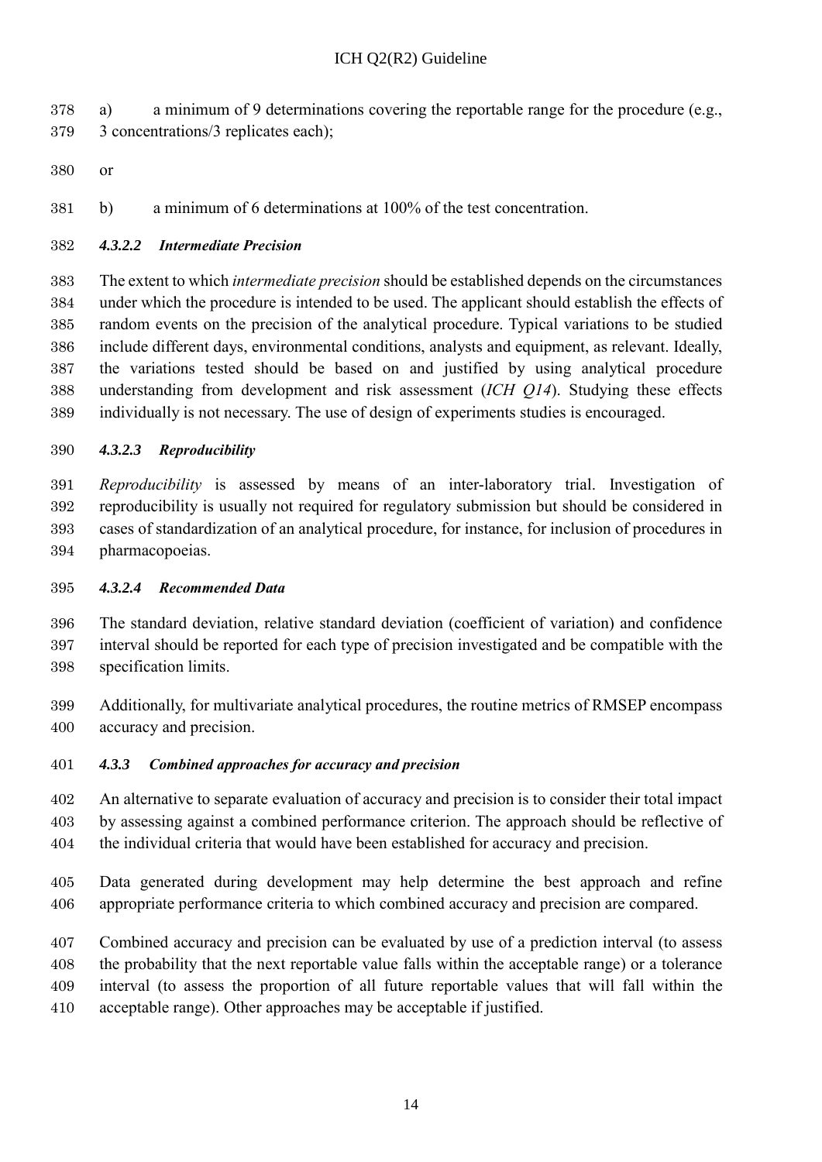a) a minimum of 9 determinations covering the reportable range for the procedure (e.g., 3 concentrations/3 replicates each);

or

b) a minimum of 6 determinations at 100% of the test concentration.

#### <span id="page-18-0"></span>*4.3.2.2 Intermediate Precision*

 The extent to which *intermediate precision* should be established depends on the circumstances under which the procedure is intended to be used. The applicant should establish the effects of random events on the precision of the analytical procedure. Typical variations to be studied include different days, environmental conditions, analysts and equipment, as relevant. Ideally, the variations tested should be based on and justified by using analytical procedure understanding from development and risk assessment (*ICH Q14*). Studying these effects individually is not necessary. The use of design of experiments studies is encouraged.

#### <span id="page-18-1"></span>*4.3.2.3 Reproducibility*

 *Reproducibility* is assessed by means of an inter-laboratory trial. Investigation of reproducibility is usually not required for regulatory submission but should be considered in cases of standardization of an analytical procedure, for instance, for inclusion of procedures in pharmacopoeias.

#### <span id="page-18-2"></span>*4.3.2.4 Recommended Data*

 The standard deviation, relative standard deviation (coefficient of variation) and confidence interval should be reported for each type of precision investigated and be compatible with the specification limits.

 Additionally, for multivariate analytical procedures, the routine metrics of RMSEP encompass accuracy and precision.

#### <span id="page-18-3"></span>*4.3.3 Combined approaches for accuracy and precision*

 An alternative to separate evaluation of accuracy and precision is to consider their total impact by assessing against a combined performance criterion. The approach should be reflective of the individual criteria that would have been established for accuracy and precision.

 Data generated during development may help determine the best approach and refine appropriate performance criteria to which combined accuracy and precision are compared.

 Combined accuracy and precision can be evaluated by use of a prediction interval (to assess the probability that the next reportable value falls within the acceptable range) or a tolerance interval (to assess the proportion of all future reportable values that will fall within the

acceptable range). Other approaches may be acceptable if justified.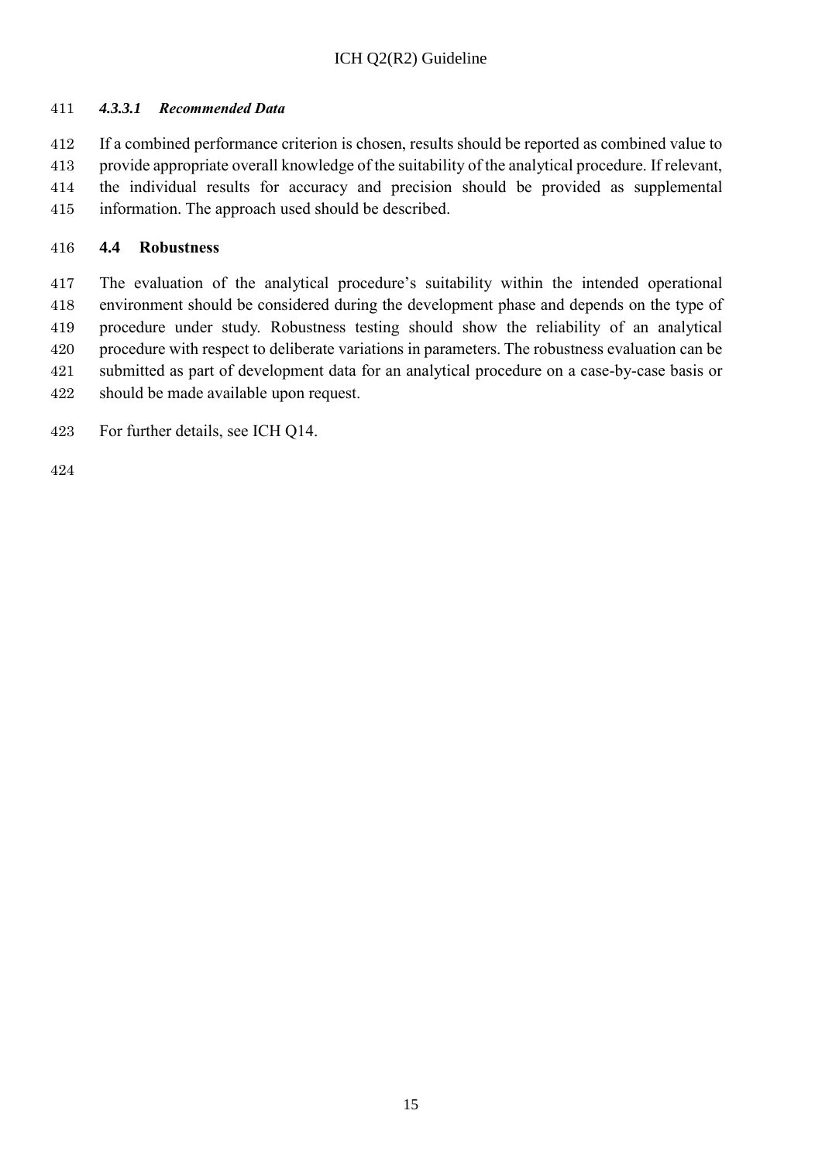#### <span id="page-19-0"></span>*4.3.3.1 Recommended Data*

 If a combined performance criterion is chosen, results should be reported as combined value to provide appropriate overall knowledge of the suitability of the analytical procedure. If relevant, the individual results for accuracy and precision should be provided as supplemental information. The approach used should be described.

#### <span id="page-19-1"></span>**4.4 Robustness**

 The evaluation of the analytical procedure's suitability within the intended operational environment should be considered during the development phase and depends on the type of procedure under study. Robustness testing should show the reliability of an analytical procedure with respect to deliberate variations in parameters. The robustness evaluation can be submitted as part of development data for an analytical procedure on a case-by-case basis or should be made available upon request.

For further details, see ICH Q14.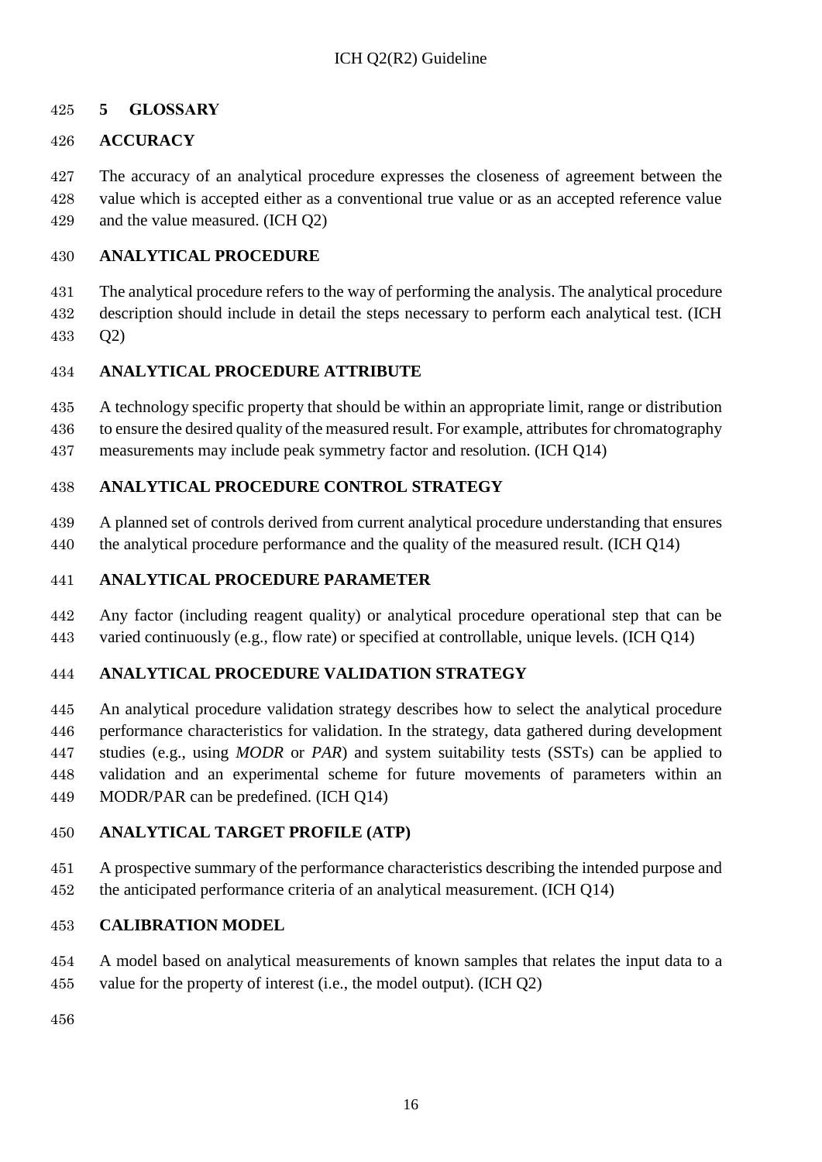### <span id="page-20-0"></span>**5 GLOSSARY**

### **ACCURACY**

 The accuracy of an analytical procedure expresses the closeness of agreement between the value which is accepted either as a conventional true value or as an accepted reference value and the value measured. (ICH Q2)

### **ANALYTICAL PROCEDURE**

 The analytical procedure refers to the way of performing the analysis. The analytical procedure description should include in detail the steps necessary to perform each analytical test. (ICH Q2)

### **ANALYTICAL PROCEDURE ATTRIBUTE**

A technology specific property that should be within an appropriate limit, range or distribution

to ensure the desired quality of the measured result. For example, attributes for chromatography

measurements may include peak symmetry factor and resolution. (ICH Q14)

### **ANALYTICAL PROCEDURE CONTROL STRATEGY**

 A planned set of controls derived from current analytical procedure understanding that ensures the analytical procedure performance and the quality of the measured result. (ICH Q14)

### **ANALYTICAL PROCEDURE PARAMETER**

 Any factor (including reagent quality) or analytical procedure operational step that can be varied continuously (e.g., flow rate) or specified at controllable, unique levels. (ICH Q14)

### **ANALYTICAL PROCEDURE VALIDATION STRATEGY**

 An analytical procedure validation strategy describes how to select the analytical procedure performance characteristics for validation. In the strategy, data gathered during development studies (e.g., using *MODR* or *PAR*) and system suitability tests (SSTs) can be applied to validation and an experimental scheme for future movements of parameters within an MODR/PAR can be predefined. (ICH Q14)

### **ANALYTICAL TARGET PROFILE (ATP)**

 A prospective summary of the performance characteristics describing the intended purpose and the anticipated performance criteria of an analytical measurement. (ICH Q14)

### **CALIBRATION MODEL**

- A model based on analytical measurements of known samples that relates the input data to a
- value for the property of interest (i.e., the model output). (ICH Q2)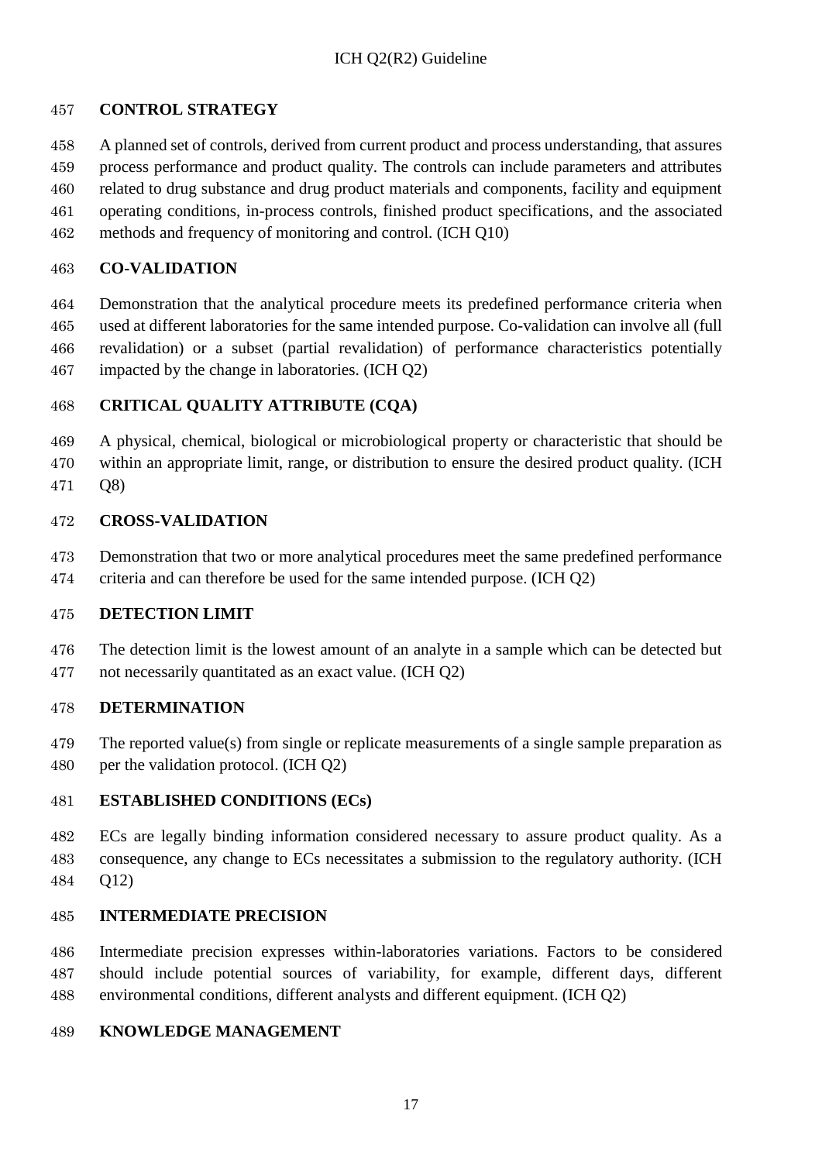### **CONTROL STRATEGY**

A planned set of controls, derived from current product and process understanding, that assures

- process performance and product quality. The controls can include parameters and attributes related to drug substance and drug product materials and components, facility and equipment operating conditions, in-process controls, finished product specifications, and the associated
- methods and frequency of monitoring and control. (ICH Q10)

#### **CO-VALIDATION**

 Demonstration that the analytical procedure meets its predefined performance criteria when used at different laboratories for the same intended purpose. Co-validation can involve all (full revalidation) or a subset (partial revalidation) of performance characteristics potentially impacted by the change in laboratories. (ICH Q2)

### **CRITICAL QUALITY ATTRIBUTE (CQA)**

 A physical, chemical, biological or microbiological property or characteristic that should be within an appropriate limit, range, or distribution to ensure the desired product quality. (ICH Q8)

#### **CROSS-VALIDATION**

Demonstration that two or more analytical procedures meet the same predefined performance

criteria and can therefore be used for the same intended purpose. (ICH Q2)

### **DETECTION LIMIT**

 The detection limit is the lowest amount of an analyte in a sample which can be detected but not necessarily quantitated as an exact value. (ICH Q2)

#### **DETERMINATION**

- The reported value(s) from single or replicate measurements of a single sample preparation as
- per the validation protocol. (ICH Q2)

### **ESTABLISHED CONDITIONS (ECs)**

 ECs are legally binding information considered necessary to assure product quality. As a consequence, any change to ECs necessitates a submission to the regulatory authority. (ICH Q12)

### **INTERMEDIATE PRECISION**

 Intermediate precision expresses within-laboratories variations. Factors to be considered should include potential sources of variability, for example, different days, different environmental conditions, different analysts and different equipment. (ICH Q2)

#### **KNOWLEDGE MANAGEMENT**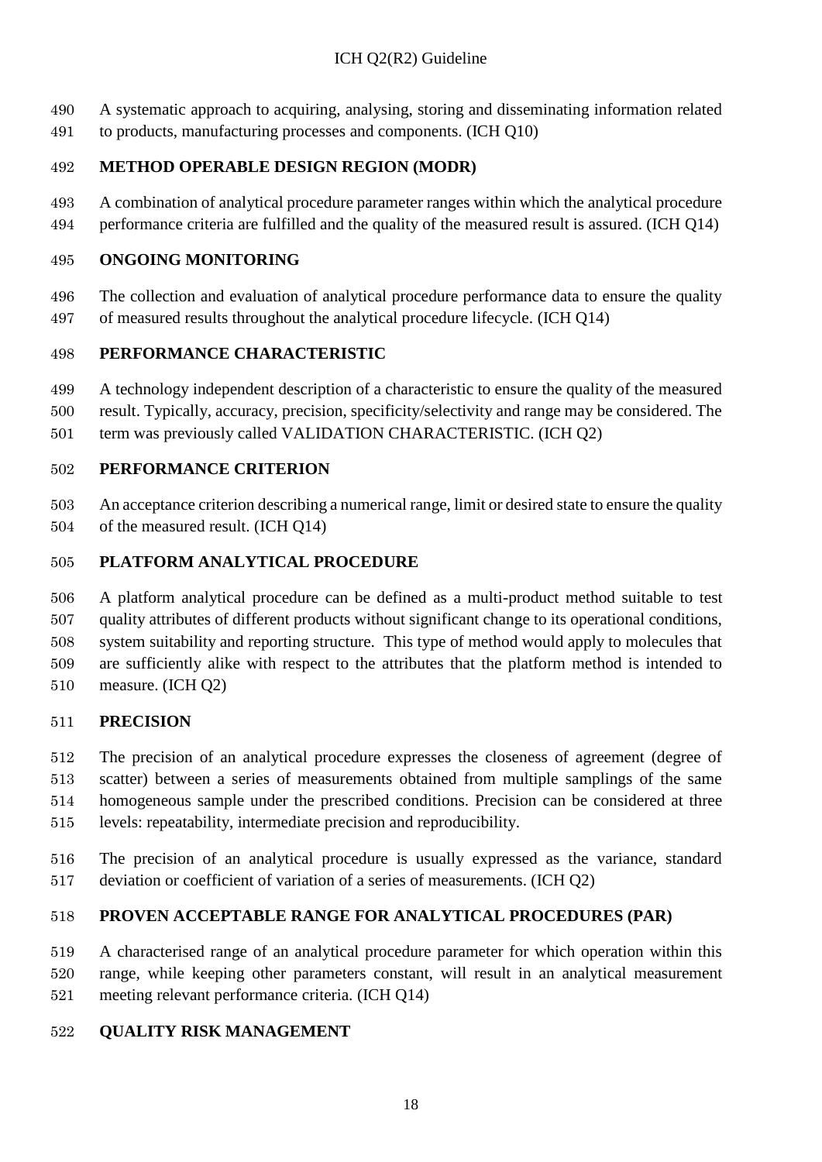- A systematic approach to acquiring, analysing, storing and disseminating information related
- to products, manufacturing processes and components. (ICH Q10)

### **METHOD OPERABLE DESIGN REGION (MODR)**

 A combination of analytical procedure parameter ranges within which the analytical procedure performance criteria are fulfilled and the quality of the measured result is assured. (ICH Q14)

### **ONGOING MONITORING**

 The collection and evaluation of analytical procedure performance data to ensure the quality of measured results throughout the analytical procedure lifecycle. (ICH Q14)

### **PERFORMANCE CHARACTERISTIC**

- A technology independent description of a characteristic to ensure the quality of the measured
- result. Typically, accuracy, precision, specificity/selectivity and range may be considered. The
- term was previously called VALIDATION CHARACTERISTIC. (ICH Q2)

### **PERFORMANCE CRITERION**

 An acceptance criterion describing a numerical range, limit or desired state to ensure the quality of the measured result. (ICH Q14)

### **PLATFORM ANALYTICAL PROCEDURE**

 A platform analytical procedure can be defined as a multi-product method suitable to test quality attributes of different products without significant change to its operational conditions, system suitability and reporting structure. This type of method would apply to molecules that are sufficiently alike with respect to the attributes that the platform method is intended to measure. (ICH Q2)

### **PRECISION**

 The precision of an analytical procedure expresses the closeness of agreement (degree of scatter) between a series of measurements obtained from multiple samplings of the same homogeneous sample under the prescribed conditions. Precision can be considered at three levels: repeatability, intermediate precision and reproducibility.

 The precision of an analytical procedure is usually expressed as the variance, standard deviation or coefficient of variation of a series of measurements. (ICH Q2)

# **PROVEN ACCEPTABLE RANGE FOR ANALYTICAL PROCEDURES (PAR)**

 A characterised range of an analytical procedure parameter for which operation within this range, while keeping other parameters constant, will result in an analytical measurement meeting relevant performance criteria. (ICH Q14)

### **QUALITY RISK MANAGEMENT**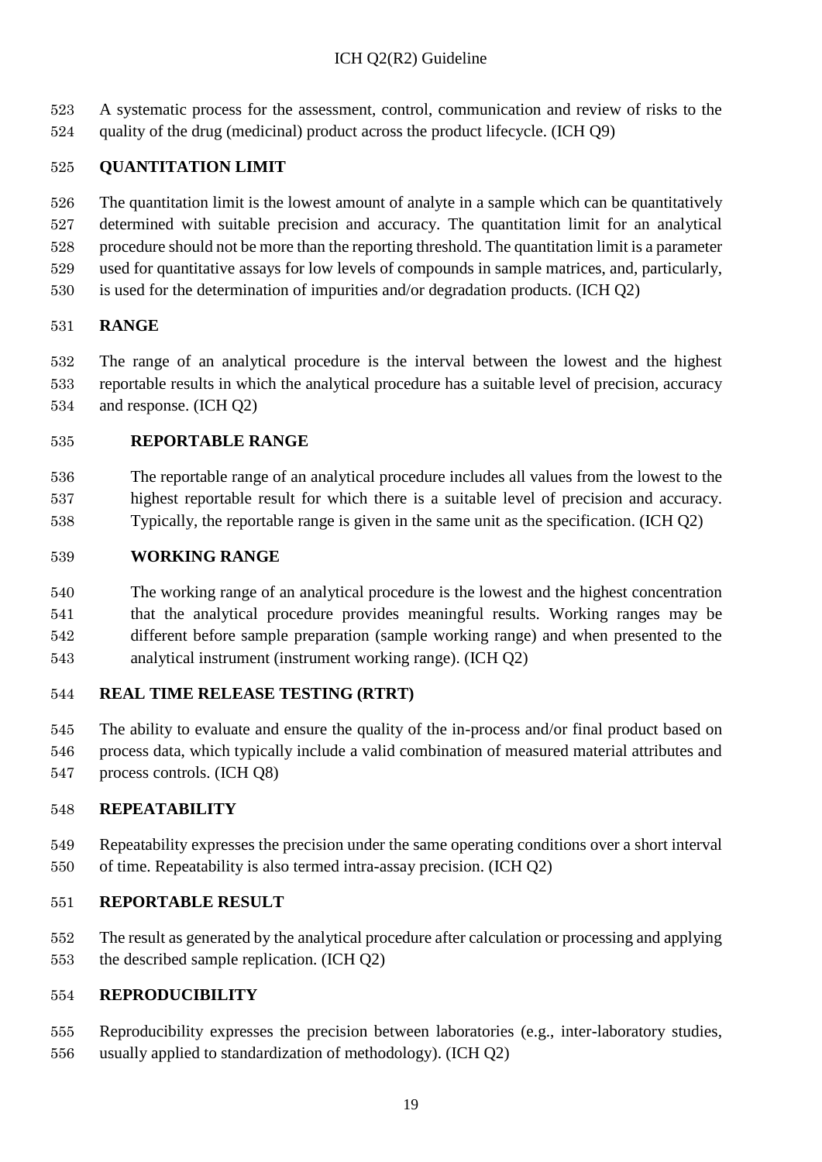A systematic process for the assessment, control, communication and review of risks to the quality of the drug (medicinal) product across the product lifecycle. (ICH Q9)

### **QUANTITATION LIMIT**

 The quantitation limit is the lowest amount of analyte in a sample which can be quantitatively determined with suitable precision and accuracy. The quantitation limit for an analytical procedure should not be more than the reporting threshold. The quantitation limit is a parameter used for quantitative assays for low levels of compounds in sample matrices, and, particularly,

is used for the determination of impurities and/or degradation products. (ICH Q2)

### **RANGE**

 The range of an analytical procedure is the interval between the lowest and the highest reportable results in which the analytical procedure has a suitable level of precision, accuracy and response. (ICH Q2)

### **REPORTABLE RANGE**

 The reportable range of an analytical procedure includes all values from the lowest to the highest reportable result for which there is a suitable level of precision and accuracy. Typically, the reportable range is given in the same unit as the specification. (ICH Q2)

### **WORKING RANGE**

 The working range of an analytical procedure is the lowest and the highest concentration that the analytical procedure provides meaningful results. Working ranges may be different before sample preparation (sample working range) and when presented to the analytical instrument (instrument working range). (ICH Q2)

### **REAL TIME RELEASE TESTING (RTRT)**

 The ability to evaluate and ensure the quality of the in-process and/or final product based on process data, which typically include a valid combination of measured material attributes and process controls. (ICH Q8)

### **REPEATABILITY**

 Repeatability expresses the precision under the same operating conditions over a short interval of time. Repeatability is also termed intra-assay precision. (ICH Q2)

### **REPORTABLE RESULT**

 The result as generated by the analytical procedure after calculation or processing and applying the described sample replication. (ICH Q2)

### **REPRODUCIBILITY**

- Reproducibility expresses the precision between laboratories (e.g., inter-laboratory studies,
- usually applied to standardization of methodology). (ICH Q2)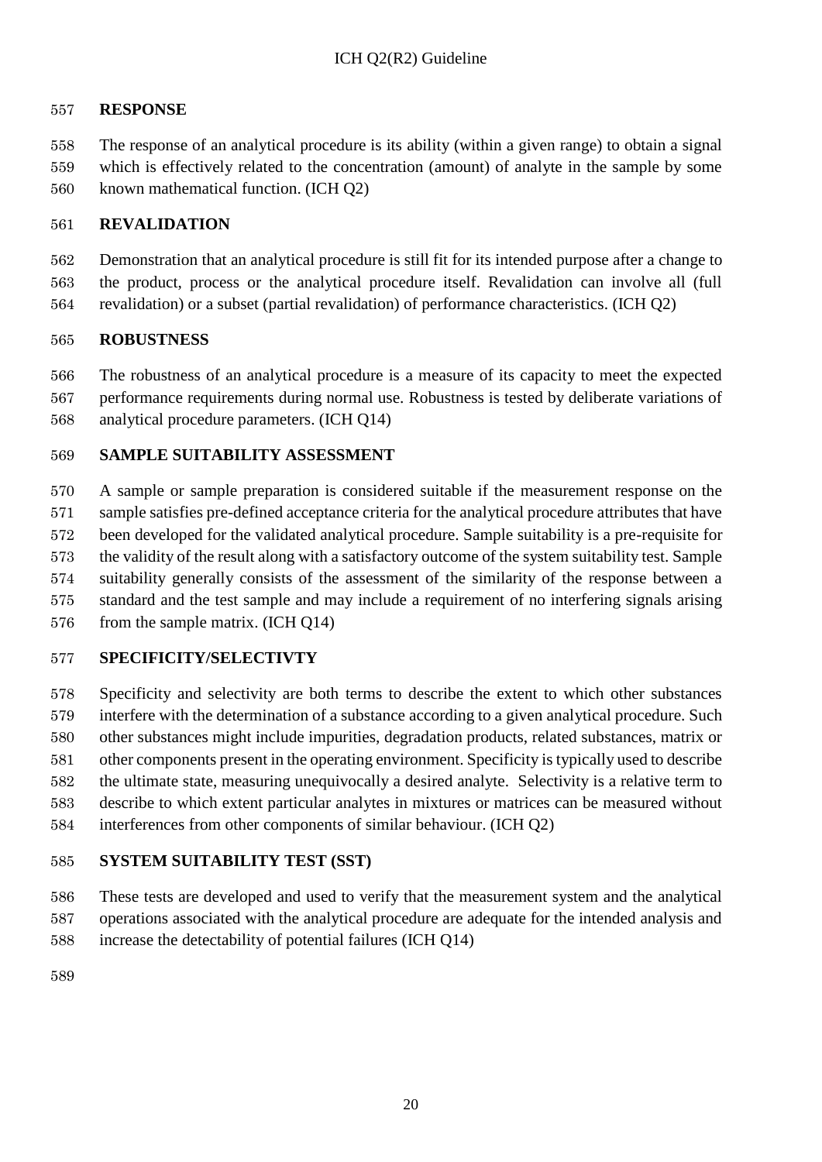#### **RESPONSE**

 The response of an analytical procedure is its ability (within a given range) to obtain a signal which is effectively related to the concentration (amount) of analyte in the sample by some known mathematical function. (ICH Q2)

#### **REVALIDATION**

 Demonstration that an analytical procedure is still fit for its intended purpose after a change to the product, process or the analytical procedure itself. Revalidation can involve all (full revalidation) or a subset (partial revalidation) of performance characteristics. (ICH Q2)

#### **ROBUSTNESS**

 The robustness of an analytical procedure is a measure of its capacity to meet the expected performance requirements during normal use. Robustness is tested by deliberate variations of analytical procedure parameters. (ICH Q14)

#### **SAMPLE SUITABILITY ASSESSMENT**

 A sample or sample preparation is considered suitable if the measurement response on the sample satisfies pre-defined acceptance criteria for the analytical procedure attributes that have been developed for the validated analytical procedure. Sample suitability is a pre-requisite for the validity of the result along with a satisfactory outcome of the system suitability test. Sample suitability generally consists of the assessment of the similarity of the response between a standard and the test sample and may include a requirement of no interfering signals arising from the sample matrix. (ICH Q14)

#### **SPECIFICITY/SELECTIVTY**

 Specificity and selectivity are both terms to describe the extent to which other substances interfere with the determination of a substance according to a given analytical procedure. Such other substances might include impurities, degradation products, related substances, matrix or other components present in the operating environment. Specificity is typically used to describe the ultimate state, measuring unequivocally a desired analyte. Selectivity is a relative term to describe to which extent particular analytes in mixtures or matrices can be measured without interferences from other components of similar behaviour. (ICH Q2)

#### **SYSTEM SUITABILITY TEST (SST)**

 These tests are developed and used to verify that the measurement system and the analytical operations associated with the analytical procedure are adequate for the intended analysis and increase the detectability of potential failures (ICH Q14)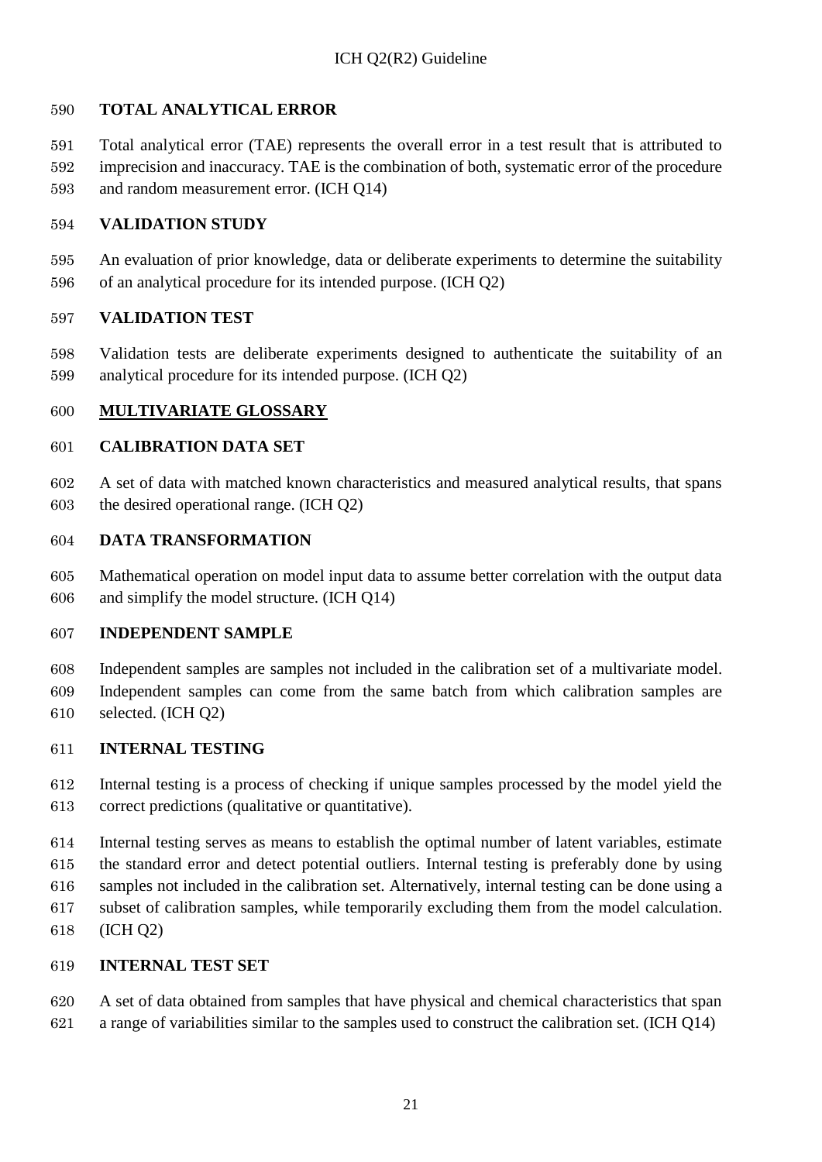### **TOTAL ANALYTICAL ERROR**

 Total analytical error (TAE) represents the overall error in a test result that is attributed to imprecision and inaccuracy. TAE is the combination of both, systematic error of the procedure and random measurement error. (ICH Q14)

#### **VALIDATION STUDY**

 An evaluation of prior knowledge, data or deliberate experiments to determine the suitability of an analytical procedure for its intended purpose. (ICH Q2)

#### **VALIDATION TEST**

 Validation tests are deliberate experiments designed to authenticate the suitability of an analytical procedure for its intended purpose. (ICH Q2)

### **MULTIVARIATE GLOSSARY**

### **CALIBRATION DATA SET**

 A set of data with matched known characteristics and measured analytical results, that spans the desired operational range. (ICH Q2)

#### **DATA TRANSFORMATION**

 Mathematical operation on model input data to assume better correlation with the output data and simplify the model structure. (ICH Q14)

### **INDEPENDENT SAMPLE**

 Independent samples are samples not included in the calibration set of a multivariate model. Independent samples can come from the same batch from which calibration samples are selected. (ICH Q2)

### **INTERNAL TESTING**

 Internal testing is a process of checking if unique samples processed by the model yield the correct predictions (qualitative or quantitative).

Internal testing serves as means to establish the optimal number of latent variables, estimate

the standard error and detect potential outliers. Internal testing is preferably done by using

samples not included in the calibration set. Alternatively, internal testing can be done using a

subset of calibration samples, while temporarily excluding them from the model calculation.

(ICH Q2)

### **INTERNAL TEST SET**

 A set of data obtained from samples that have physical and chemical characteristics that span a range of variabilities similar to the samples used to construct the calibration set. (ICH Q14)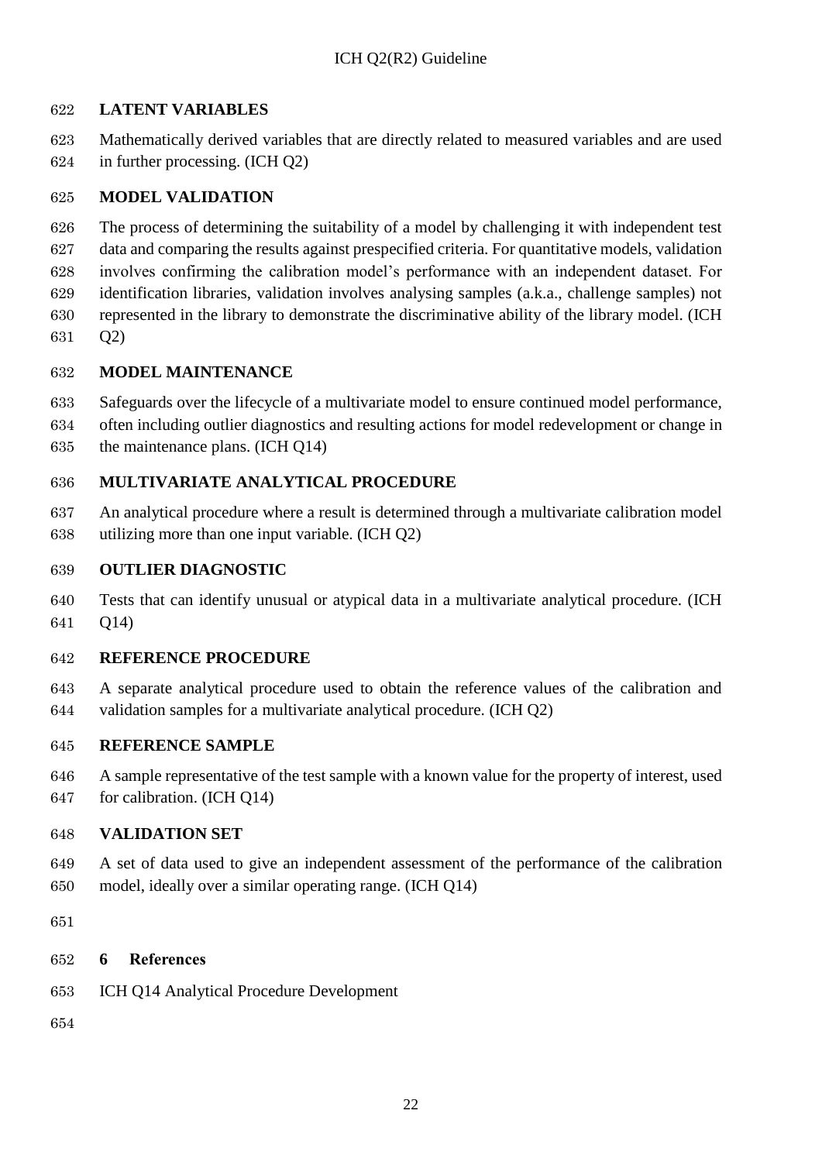### **LATENT VARIABLES**

 Mathematically derived variables that are directly related to measured variables and are used in further processing. (ICH Q2)

#### **MODEL VALIDATION**

 The process of determining the suitability of a model by challenging it with independent test data and comparing the results against prespecified criteria. For quantitative models, validation involves confirming the calibration model's performance with an independent dataset. For identification libraries, validation involves analysing samples (a.k.a., challenge samples) not represented in the library to demonstrate the discriminative ability of the library model. (ICH Q2)

#### **MODEL MAINTENANCE**

Safeguards over the lifecycle of a multivariate model to ensure continued model performance,

 often including outlier diagnostics and resulting actions for model redevelopment or change in the maintenance plans. (ICH Q14)

### **MULTIVARIATE ANALYTICAL PROCEDURE**

 An analytical procedure where a result is determined through a multivariate calibration model utilizing more than one input variable. (ICH Q2)

#### **OUTLIER DIAGNOSTIC**

 Tests that can identify unusual or atypical data in a multivariate analytical procedure. (ICH Q14)

#### **REFERENCE PROCEDURE**

 A separate analytical procedure used to obtain the reference values of the calibration and validation samples for a multivariate analytical procedure. (ICH Q2)

#### **REFERENCE SAMPLE**

 A sample representative of the test sample with a known value for the property of interest, used for calibration. (ICH Q14)

### **VALIDATION SET**

- A set of data used to give an independent assessment of the performance of the calibration model, ideally over a similar operating range. (ICH Q14)
- 

### <span id="page-26-0"></span>**6 References**

- ICH Q14 Analytical Procedure Development
-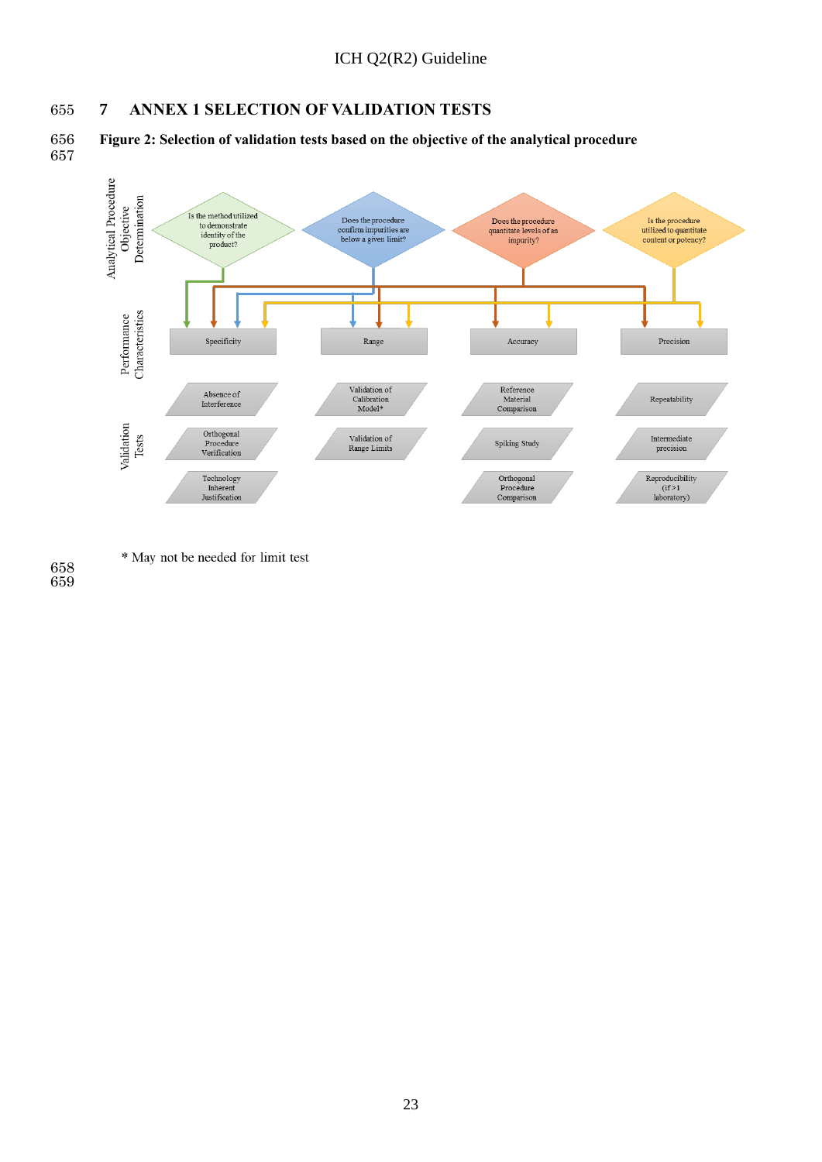### <span id="page-27-0"></span>**7 ANNEX 1 SELECTION OF VALIDATION TESTS**

 **Figure 2: Selection of validation tests based on the objective of the analytical procedure** 



\* May not be needed for limit test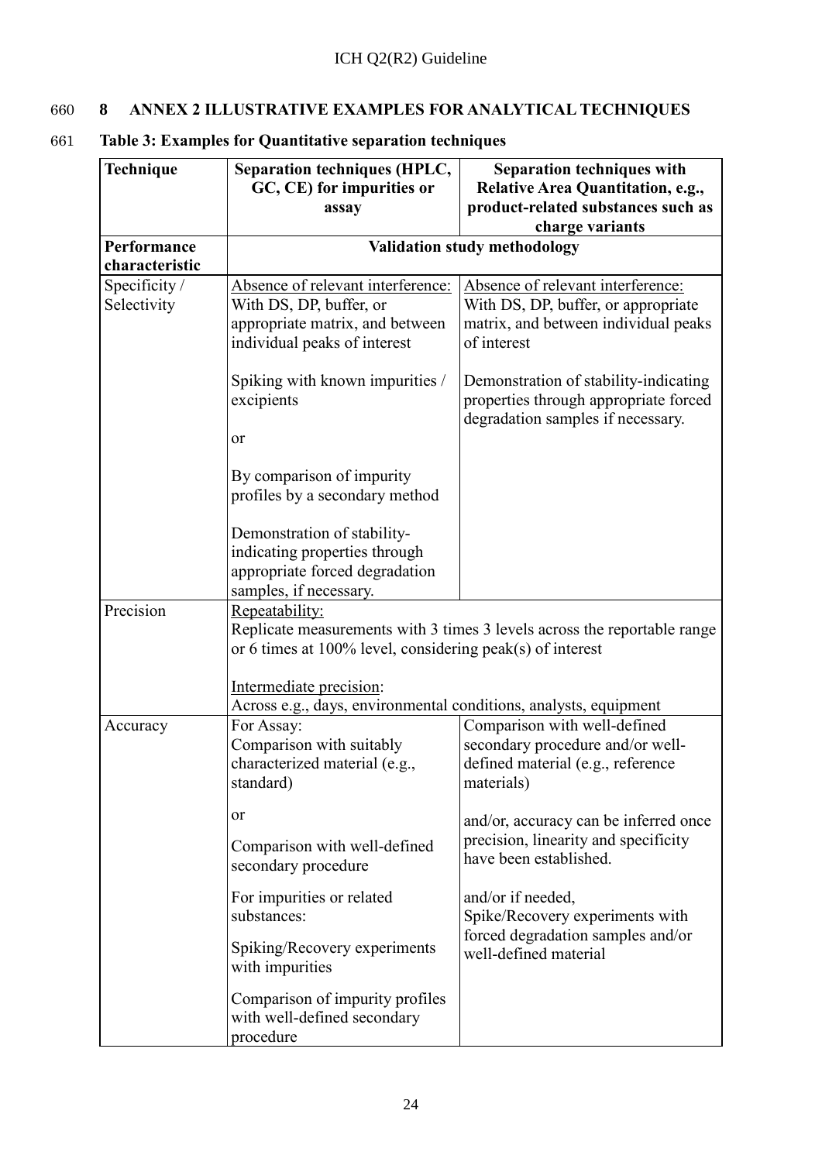# <span id="page-28-0"></span>660 **8 ANNEX 2 ILLUSTRATIVE EXAMPLES FOR ANALYTICAL TECHNIQUES**

| Technique                     | <b>Separation techniques (HPLC,</b><br>GC, CE) for impurities or<br>assay                                                       | <b>Separation techniques with</b><br>Relative Area Quantitation, e.g.,<br>product-related substances such as<br>charge variants |  |
|-------------------------------|---------------------------------------------------------------------------------------------------------------------------------|---------------------------------------------------------------------------------------------------------------------------------|--|
| Performance<br>characteristic | Validation study methodology                                                                                                    |                                                                                                                                 |  |
| Specificity /<br>Selectivity  | Absence of relevant interference:<br>With DS, DP, buffer, or<br>appropriate matrix, and between<br>individual peaks of interest | Absence of relevant interference:<br>With DS, DP, buffer, or appropriate<br>matrix, and between individual peaks<br>of interest |  |
|                               | Spiking with known impurities /<br>excipients<br>or                                                                             | Demonstration of stability-indicating<br>properties through appropriate forced<br>degradation samples if necessary.             |  |
|                               | By comparison of impurity<br>profiles by a secondary method                                                                     |                                                                                                                                 |  |
|                               | Demonstration of stability-<br>indicating properties through<br>appropriate forced degradation<br>samples, if necessary.        |                                                                                                                                 |  |
| Precision                     | Repeatability:<br>or 6 times at $100\%$ level, considering peak(s) of interest                                                  | Replicate measurements with 3 times 3 levels across the reportable range                                                        |  |
|                               | Intermediate precision:<br>Across e.g., days, environmental conditions, analysts, equipment                                     |                                                                                                                                 |  |
| Accuracy                      | For Assay:<br>Comparison with suitably<br>characterized material (e.g.,<br>standard)                                            | Comparison with well-defined<br>secondary procedure and/or well-<br>defined material (e.g., reference<br>materials)             |  |
|                               | <b>or</b><br>Comparison with well-defined<br>secondary procedure                                                                | and/or, accuracy can be inferred once<br>precision, linearity and specificity<br>have been established.                         |  |
|                               | For impurities or related<br>substances:                                                                                        | and/or if needed,<br>Spike/Recovery experiments with                                                                            |  |
|                               | Spiking/Recovery experiments<br>with impurities                                                                                 | forced degradation samples and/or<br>well-defined material                                                                      |  |
|                               | Comparison of impurity profiles<br>with well-defined secondary<br>procedure                                                     |                                                                                                                                 |  |

# 661 **Table 3: Examples for Quantitative separation techniques**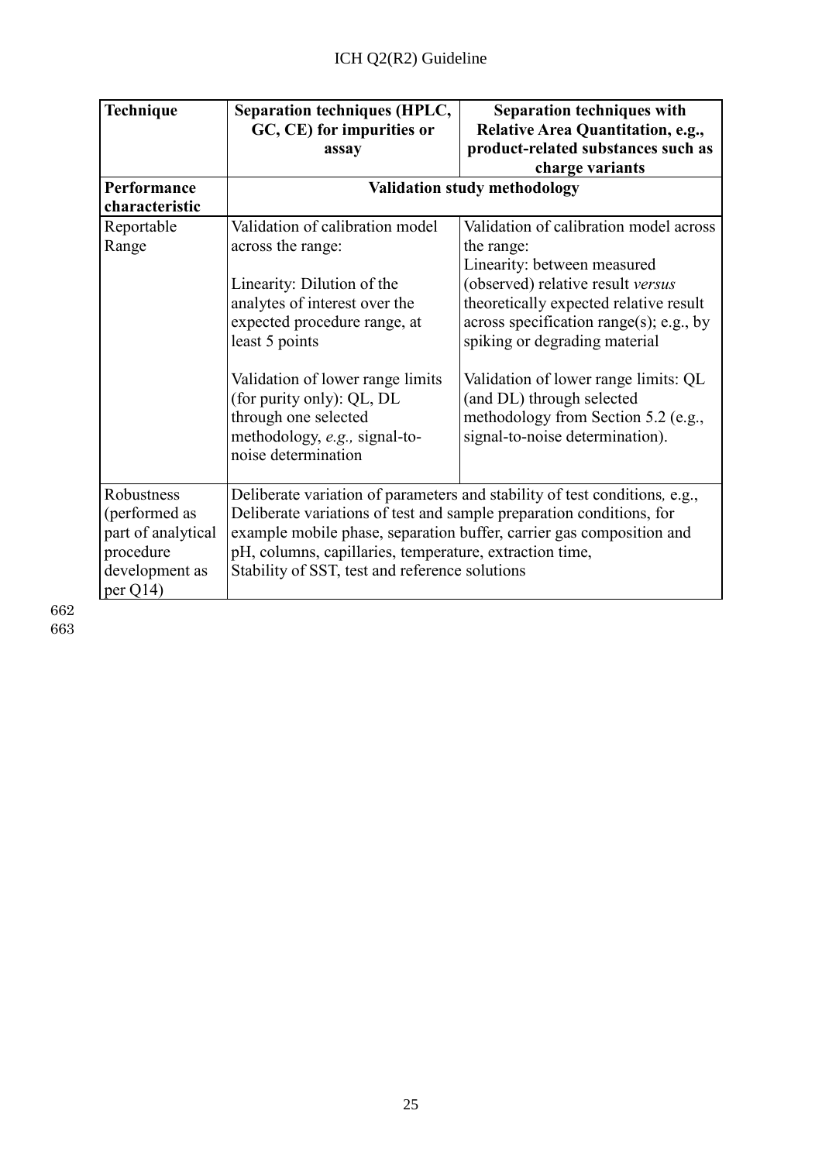| Technique                                                                                     | <b>Separation techniques (HPLC,</b>                                                                                                                                               | <b>Separation techniques with</b>                                                                                                                  |
|-----------------------------------------------------------------------------------------------|-----------------------------------------------------------------------------------------------------------------------------------------------------------------------------------|----------------------------------------------------------------------------------------------------------------------------------------------------|
|                                                                                               | GC, CE) for impurities or<br>assay                                                                                                                                                | Relative Area Quantitation, e.g.,<br>product-related substances such as                                                                            |
|                                                                                               |                                                                                                                                                                                   | charge variants                                                                                                                                    |
| Performance                                                                                   |                                                                                                                                                                                   | <b>Validation study methodology</b>                                                                                                                |
| characteristic                                                                                |                                                                                                                                                                                   |                                                                                                                                                    |
| Reportable                                                                                    | Validation of calibration model                                                                                                                                                   | Validation of calibration model across                                                                                                             |
| Range                                                                                         | across the range:                                                                                                                                                                 | the range:                                                                                                                                         |
|                                                                                               |                                                                                                                                                                                   | Linearity: between measured                                                                                                                        |
|                                                                                               | Linearity: Dilution of the                                                                                                                                                        | (observed) relative result versus                                                                                                                  |
|                                                                                               | analytes of interest over the                                                                                                                                                     | theoretically expected relative result                                                                                                             |
|                                                                                               | expected procedure range, at                                                                                                                                                      | across specification range(s); e.g., by                                                                                                            |
|                                                                                               | least 5 points                                                                                                                                                                    | spiking or degrading material                                                                                                                      |
|                                                                                               | Validation of lower range limits<br>(for purity only): QL, DL<br>through one selected<br>methodology, e.g., signal-to-<br>noise determination                                     | Validation of lower range limits: QL<br>(and DL) through selected<br>methodology from Section 5.2 (e.g.,<br>signal-to-noise determination).        |
| Robustness<br>(performed as<br>part of analytical<br>procedure<br>development as<br>per $Q14$ | Deliberate variations of test and sample preparation conditions, for<br>pH, columns, capillaries, temperature, extraction time,<br>Stability of SST, test and reference solutions | Deliberate variation of parameters and stability of test conditions, e.g.,<br>example mobile phase, separation buffer, carrier gas composition and |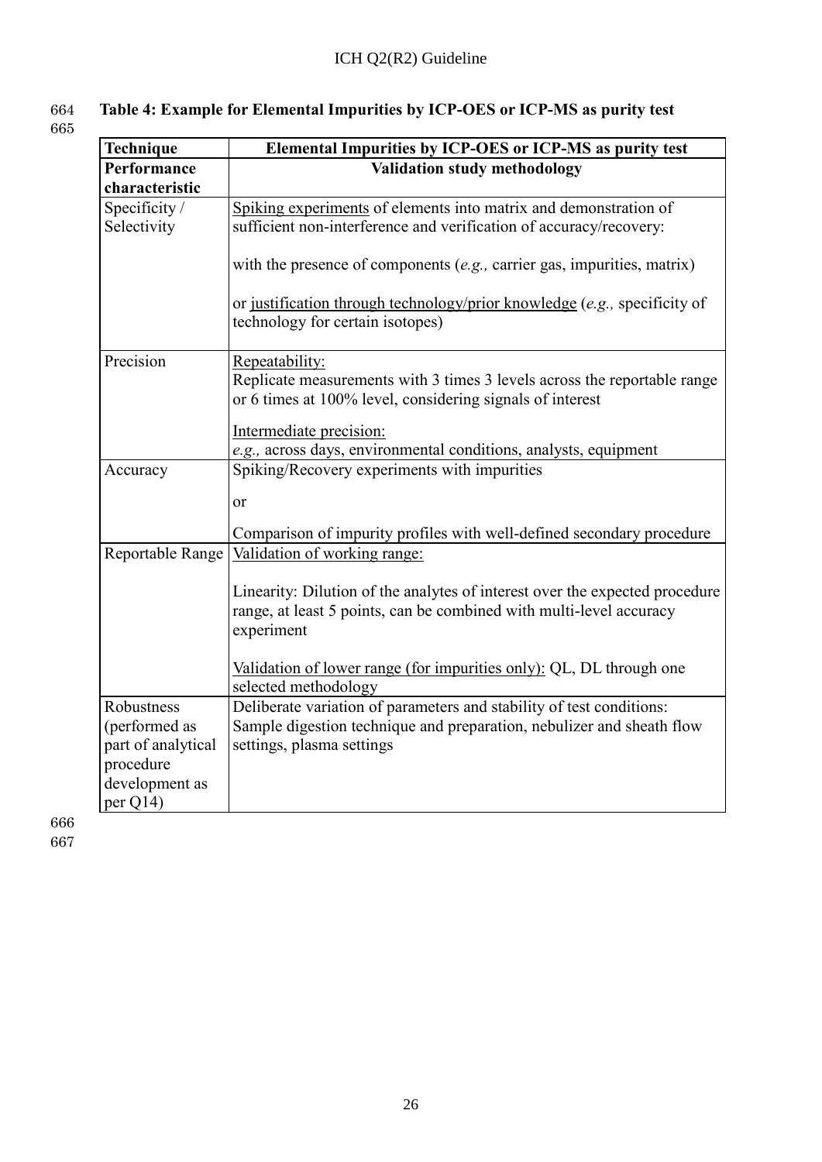### 664 **Table 4: Example for Elemental Impurities by ICP-OES or ICP-MS as purity test** 665

| Technique          | Elemental Impurities by ICP-OES or ICP-MS as purity test                                                                                                         |
|--------------------|------------------------------------------------------------------------------------------------------------------------------------------------------------------|
| Performance        | Validation study methodology                                                                                                                                     |
| characteristic     |                                                                                                                                                                  |
| Specificity/       | Spiking experiments of elements into matrix and demonstration of                                                                                                 |
| Selectivity        | sufficient non-interference and verification of accuracy/recovery:                                                                                               |
|                    | with the presence of components $(e.g.,$ carrier gas, impurities, matrix)                                                                                        |
|                    | or justification through technology/prior knowledge (e.g., specificity of                                                                                        |
|                    | technology for certain isotopes)                                                                                                                                 |
| Precision          | Repeatability:                                                                                                                                                   |
|                    | Replicate measurements with 3 times 3 levels across the reportable range<br>or 6 times at 100% level, considering signals of interest                            |
|                    | Intermediate precision:                                                                                                                                          |
|                    | e.g., across days, environmental conditions, analysts, equipment                                                                                                 |
| Accuracy           | Spiking/Recovery experiments with impurities                                                                                                                     |
|                    |                                                                                                                                                                  |
|                    | or                                                                                                                                                               |
|                    | Comparison of impurity profiles with well-defined secondary procedure                                                                                            |
| Reportable Range   | Validation of working range:                                                                                                                                     |
|                    |                                                                                                                                                                  |
|                    | Linearity: Dilution of the analytes of interest over the expected procedure<br>range, at least 5 points, can be combined with multi-level accuracy<br>experiment |
|                    | Validation of lower range (for impurities only): QL, DL through one<br>selected methodology                                                                      |
| Robustness         | Deliberate variation of parameters and stability of test conditions:                                                                                             |
| (performed as      | Sample digestion technique and preparation, nebulizer and sheath flow                                                                                            |
| part of analytical | settings, plasma settings                                                                                                                                        |
| procedure          |                                                                                                                                                                  |
| development as     |                                                                                                                                                                  |
| per Q14)           |                                                                                                                                                                  |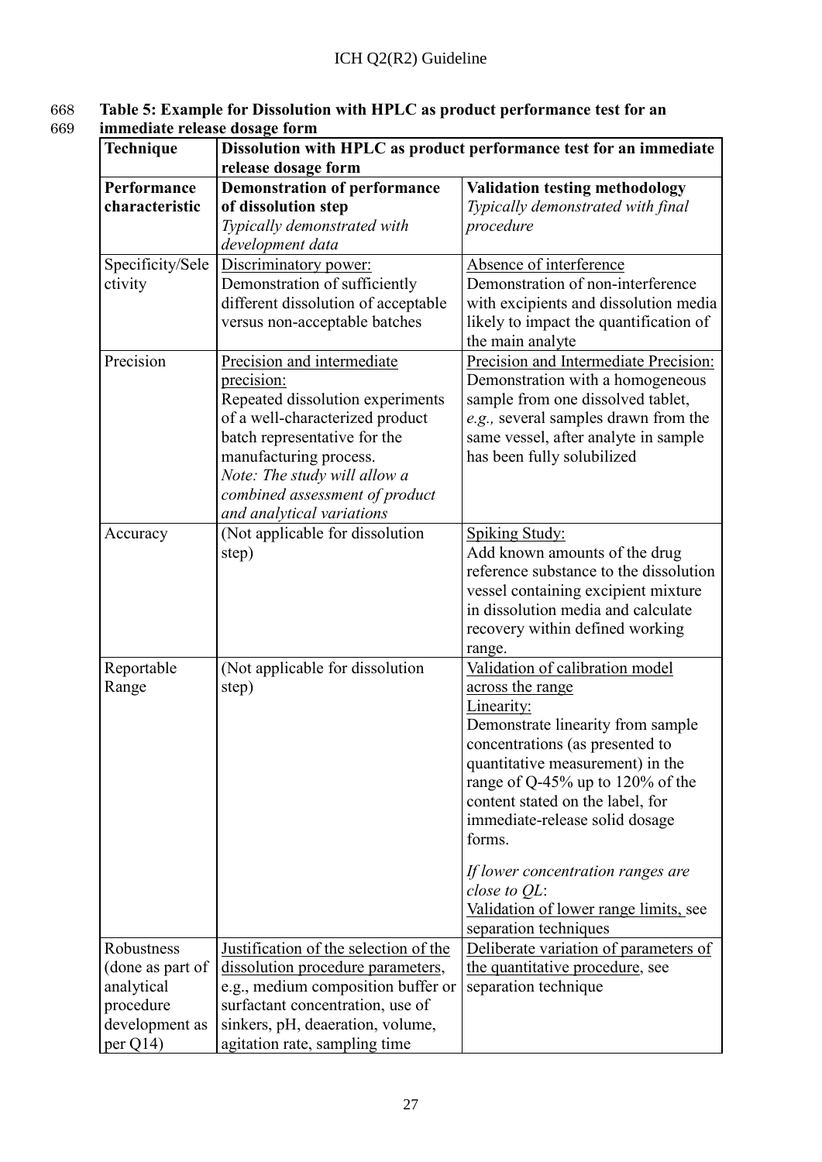#### 668 **Table 5: Example for Dissolution with HPLC as product performance test for an** 669 **immediate release dosage form**

| Technique        | Dissolution with HPLC as product performance test for an immediate |                                          |
|------------------|--------------------------------------------------------------------|------------------------------------------|
|                  | release dosage form                                                |                                          |
| Performance      | <b>Demonstration of performance</b>                                | <b>Validation testing methodology</b>    |
| characteristic   | of dissolution step                                                | Typically demonstrated with final        |
|                  | Typically demonstrated with                                        | procedure                                |
|                  | development data                                                   |                                          |
| Specificity/Sele | Discriminatory power:                                              | Absence of interference                  |
| ctivity          | Demonstration of sufficiently                                      | Demonstration of non-interference        |
|                  | different dissolution of acceptable                                | with excipients and dissolution media    |
|                  | versus non-acceptable batches                                      | likely to impact the quantification of   |
|                  |                                                                    | the main analyte                         |
| Precision        | Precision and intermediate                                         | Precision and Intermediate Precision:    |
|                  | precision:                                                         | Demonstration with a homogeneous         |
|                  | Repeated dissolution experiments                                   | sample from one dissolved tablet,        |
|                  | of a well-characterized product                                    | e.g., several samples drawn from the     |
|                  | batch representative for the                                       | same vessel, after analyte in sample     |
|                  | manufacturing process.<br>Note: The study will allow a             | has been fully solubilized               |
|                  | combined assessment of product                                     |                                          |
|                  | and analytical variations                                          |                                          |
| Accuracy         | (Not applicable for dissolution                                    | <b>Spiking Study:</b>                    |
|                  | step)                                                              | Add known amounts of the drug            |
|                  |                                                                    | reference substance to the dissolution   |
|                  |                                                                    | vessel containing excipient mixture      |
|                  |                                                                    | in dissolution media and calculate       |
|                  |                                                                    | recovery within defined working          |
|                  |                                                                    | range.                                   |
| Reportable       | (Not applicable for dissolution                                    | Validation of calibration model          |
| Range            | step)                                                              | across the range                         |
|                  |                                                                    | Linearity:                               |
|                  |                                                                    | Demonstrate linearity from sample        |
|                  |                                                                    | concentrations (as presented to          |
|                  |                                                                    | quantitative measurement) in the         |
|                  |                                                                    | range of $Q-45%$ up to 120% of the       |
|                  |                                                                    | content stated on the label, for         |
|                  |                                                                    | immediate-release solid dosage<br>forms. |
|                  |                                                                    |                                          |
|                  |                                                                    | If lower concentration ranges are        |
|                  |                                                                    | close to $QL$ :                          |
|                  |                                                                    | Validation of lower range limits, see    |
|                  |                                                                    | separation techniques                    |
| Robustness       | Justification of the selection of the                              | Deliberate variation of parameters of    |
| (done as part of | dissolution procedure parameters,                                  | the quantitative procedure, see          |
| analytical       | e.g., medium composition buffer or                                 | separation technique                     |
| procedure        | surfactant concentration, use of                                   |                                          |
| development as   | sinkers, pH, deaeration, volume,                                   |                                          |
| per $Q14$        | agitation rate, sampling time                                      |                                          |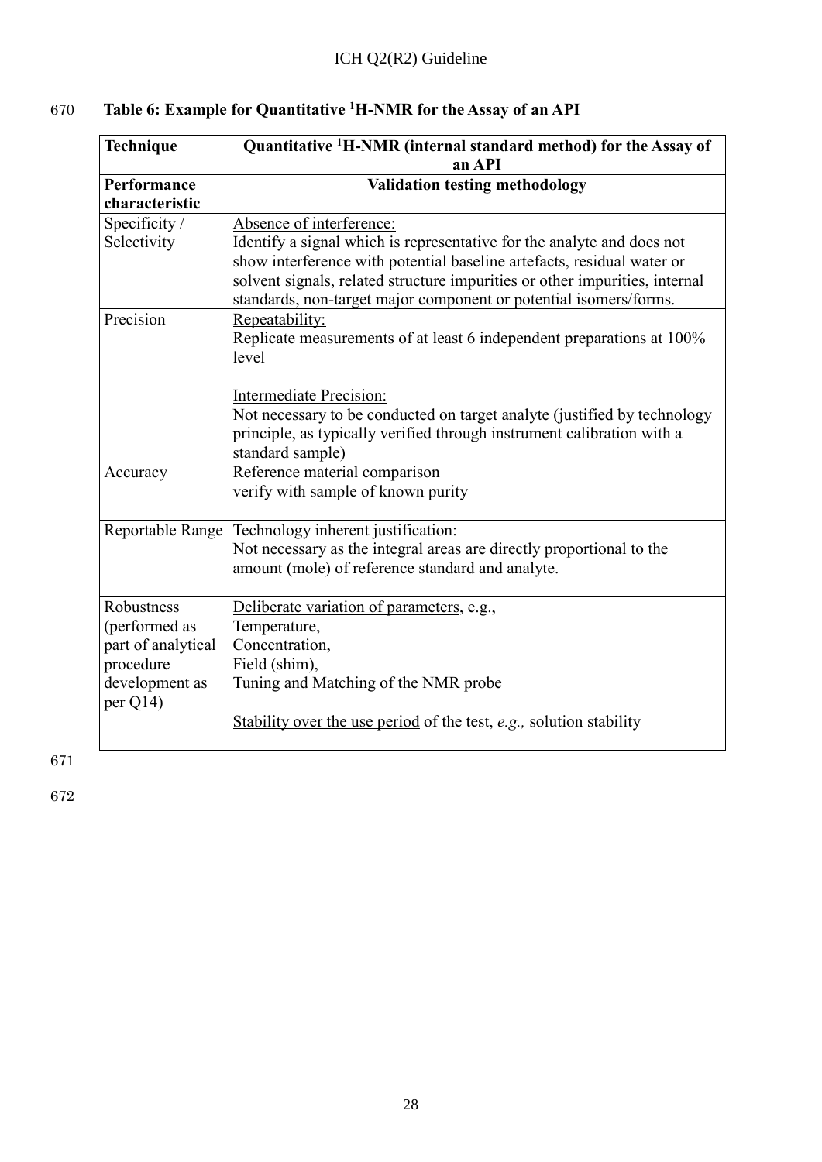| Technique                  | Quantitative <sup>1</sup> H-NMR (internal standard method) for the Assay of |  |
|----------------------------|-----------------------------------------------------------------------------|--|
|                            | an API                                                                      |  |
| Performance                | <b>Validation testing methodology</b>                                       |  |
| characteristic             |                                                                             |  |
| Specificity /              | Absence of interference:                                                    |  |
| Selectivity                | Identify a signal which is representative for the analyte and does not      |  |
|                            | show interference with potential baseline artefacts, residual water or      |  |
|                            | solvent signals, related structure impurities or other impurities, internal |  |
|                            | standards, non-target major component or potential isomers/forms.           |  |
| Precision                  | Repeatability:                                                              |  |
|                            | Replicate measurements of at least 6 independent preparations at 100%       |  |
|                            | level                                                                       |  |
|                            |                                                                             |  |
|                            | Intermediate Precision:                                                     |  |
|                            | Not necessary to be conducted on target analyte (justified by technology    |  |
|                            | principle, as typically verified through instrument calibration with a      |  |
|                            | standard sample)                                                            |  |
| Accuracy                   | Reference material comparison                                               |  |
|                            | verify with sample of known purity                                          |  |
| Reportable Range           | Technology inherent justification:                                          |  |
|                            | Not necessary as the integral areas are directly proportional to the        |  |
|                            | amount (mole) of reference standard and analyte.                            |  |
| Robustness                 | Deliberate variation of parameters, e.g.,                                   |  |
| (performed as              | Temperature,                                                                |  |
| part of analytical         | Concentration,                                                              |  |
| procedure                  | Field (shim),                                                               |  |
| development as<br>per Q14) | Tuning and Matching of the NMR probe                                        |  |
|                            | Stability over the use period of the test, e.g., solution stability         |  |
|                            |                                                                             |  |

# **670 1able 6: Example for Quantitative** <sup>1</sup>**H-NMR** for the Assay of an API

671

 $\overline{r}$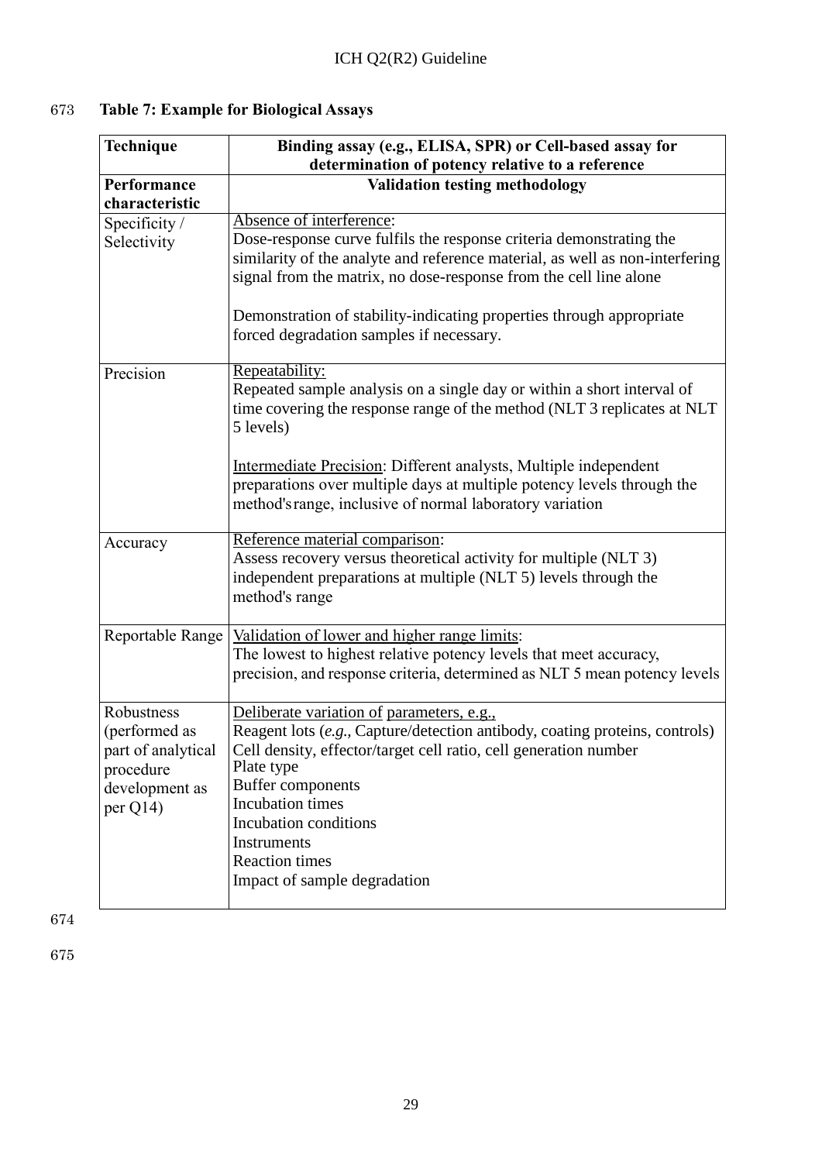# 673 **Table 7: Example for Biological Assays**

| Technique          | Binding assay (e.g., ELISA, SPR) or Cell-based assay for                     |  |
|--------------------|------------------------------------------------------------------------------|--|
|                    | determination of potency relative to a reference                             |  |
| Performance        | <b>Validation testing methodology</b>                                        |  |
| characteristic     |                                                                              |  |
| Specificity /      | Absence of interference:                                                     |  |
| Selectivity        | Dose-response curve fulfils the response criteria demonstrating the          |  |
|                    | similarity of the analyte and reference material, as well as non-interfering |  |
|                    | signal from the matrix, no dose-response from the cell line alone            |  |
|                    | Demonstration of stability-indicating properties through appropriate         |  |
|                    | forced degradation samples if necessary.                                     |  |
| Precision          | Repeatability:                                                               |  |
|                    | Repeated sample analysis on a single day or within a short interval of       |  |
|                    | time covering the response range of the method (NLT 3 replicates at NLT      |  |
|                    | 5 levels)                                                                    |  |
|                    | Intermediate Precision: Different analysts, Multiple independent             |  |
|                    | preparations over multiple days at multiple potency levels through the       |  |
|                    | method's range, inclusive of normal laboratory variation                     |  |
| Accuracy           | Reference material comparison:                                               |  |
|                    | Assess recovery versus theoretical activity for multiple (NLT 3)             |  |
|                    | independent preparations at multiple (NLT 5) levels through the              |  |
|                    | method's range                                                               |  |
| Reportable Range   | Validation of lower and higher range limits:                                 |  |
|                    | The lowest to highest relative potency levels that meet accuracy,            |  |
|                    | precision, and response criteria, determined as NLT 5 mean potency levels    |  |
|                    |                                                                              |  |
| Robustness         | Deliberate variation of parameters, e.g.,                                    |  |
| (performed as      | Reagent lots (e.g., Capture/detection antibody, coating proteins, controls)  |  |
| part of analytical | Cell density, effector/target cell ratio, cell generation number             |  |
| procedure          | Plate type                                                                   |  |
| development as     | <b>Buffer components</b><br>Incubation times                                 |  |
| per $Q14$ )        | Incubation conditions                                                        |  |
|                    | Instruments                                                                  |  |
|                    | <b>Reaction times</b>                                                        |  |
|                    | Impact of sample degradation                                                 |  |
|                    |                                                                              |  |

674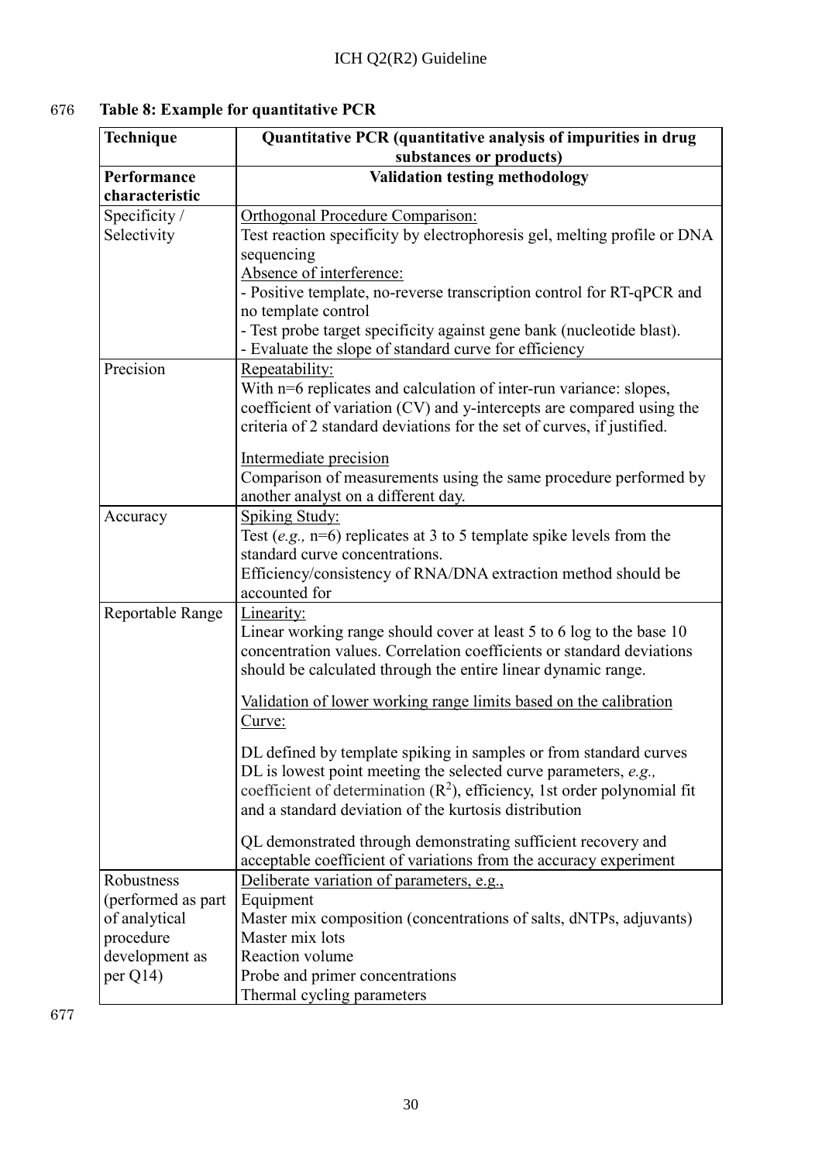# 676 **Table 8: Example for quantitative PCR**

| Technique                                                                                       | Quantitative PCR (quantitative analysis of impurities in drug<br>substances or products)                                                                                                                                                                                                                                                                                                                                                                                                                                                                                                                                                                       |
|-------------------------------------------------------------------------------------------------|----------------------------------------------------------------------------------------------------------------------------------------------------------------------------------------------------------------------------------------------------------------------------------------------------------------------------------------------------------------------------------------------------------------------------------------------------------------------------------------------------------------------------------------------------------------------------------------------------------------------------------------------------------------|
| Performance<br>characteristic                                                                   | <b>Validation testing methodology</b>                                                                                                                                                                                                                                                                                                                                                                                                                                                                                                                                                                                                                          |
| Specificity /<br>Selectivity                                                                    | Orthogonal Procedure Comparison:<br>Test reaction specificity by electrophoresis gel, melting profile or DNA<br>sequencing<br>Absence of interference:                                                                                                                                                                                                                                                                                                                                                                                                                                                                                                         |
|                                                                                                 | - Positive template, no-reverse transcription control for RT-qPCR and<br>no template control<br>- Test probe target specificity against gene bank (nucleotide blast).<br>- Evaluate the slope of standard curve for efficiency                                                                                                                                                                                                                                                                                                                                                                                                                                 |
| Precision                                                                                       | Repeatability:<br>With n=6 replicates and calculation of inter-run variance: slopes,<br>coefficient of variation (CV) and y-intercepts are compared using the<br>criteria of 2 standard deviations for the set of curves, if justified.<br>Intermediate precision<br>Comparison of measurements using the same procedure performed by<br>another analyst on a different day.                                                                                                                                                                                                                                                                                   |
| Accuracy                                                                                        | <b>Spiking Study:</b><br>Test (e.g., $n=6$ ) replicates at 3 to 5 template spike levels from the<br>standard curve concentrations.<br>Efficiency/consistency of RNA/DNA extraction method should be<br>accounted for                                                                                                                                                                                                                                                                                                                                                                                                                                           |
| Reportable Range                                                                                | Linearity:<br>Linear working range should cover at least 5 to 6 log to the base 10<br>concentration values. Correlation coefficients or standard deviations<br>should be calculated through the entire linear dynamic range.<br>Validation of lower working range limits based on the calibration<br>Curve:<br>DL defined by template spiking in samples or from standard curves<br>DL is lowest point meeting the selected curve parameters, $e.g.,$<br>coefficient of determination $(R^2)$ , efficiency, 1st order polynomial fit<br>and a standard deviation of the kurtosis distribution<br>QL demonstrated through demonstrating sufficient recovery and |
| Robustness<br>(performed as part<br>of analytical<br>procedure<br>development as<br>per $Q14$ ) | acceptable coefficient of variations from the accuracy experiment<br>Deliberate variation of parameters, e.g.,<br>Equipment<br>Master mix composition (concentrations of salts, dNTPs, adjuvants)<br>Master mix lots<br>Reaction volume<br>Probe and primer concentrations<br>Thermal cycling parameters                                                                                                                                                                                                                                                                                                                                                       |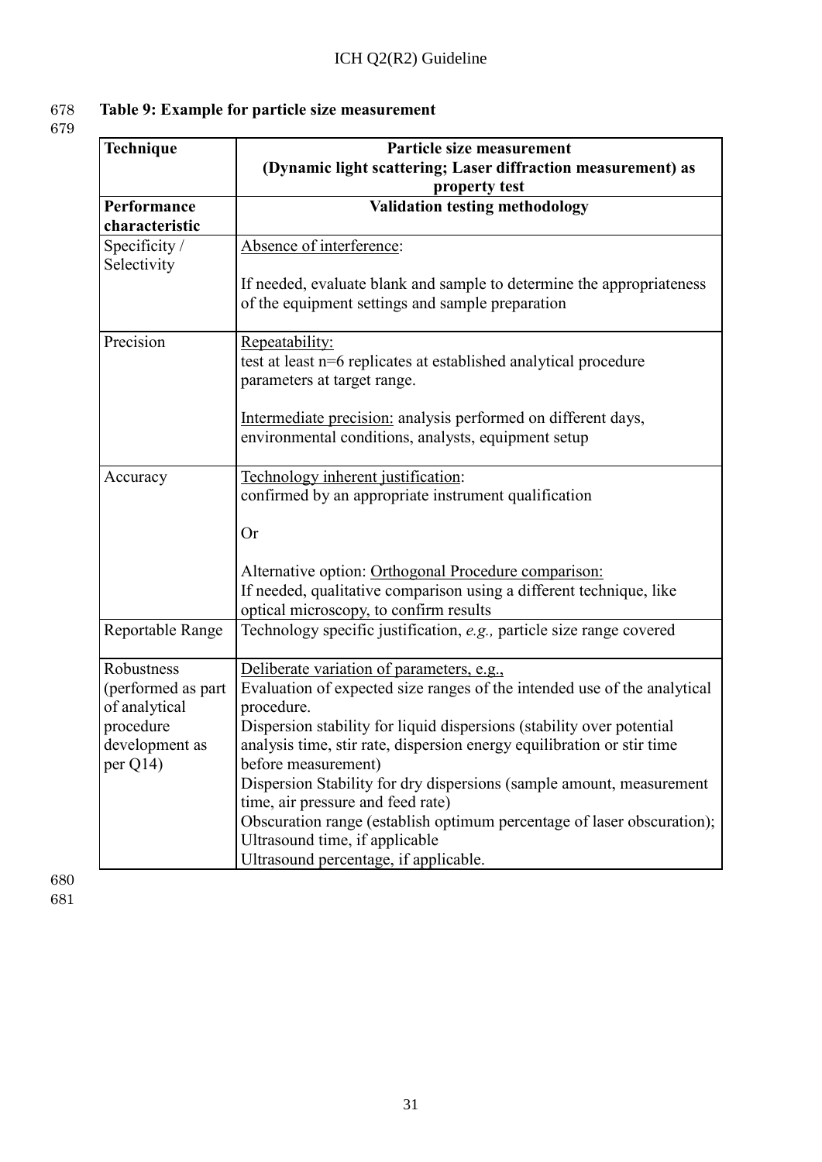# 678 **Table 9: Example for particle size measurement**

679

| Technique                                                                                       | Particle size measurement<br>(Dynamic light scattering; Laser diffraction measurement) as<br>property test                                                                                                                                                                                                                                                                                                                                                                                                                                                                      |
|-------------------------------------------------------------------------------------------------|---------------------------------------------------------------------------------------------------------------------------------------------------------------------------------------------------------------------------------------------------------------------------------------------------------------------------------------------------------------------------------------------------------------------------------------------------------------------------------------------------------------------------------------------------------------------------------|
| Performance<br>characteristic                                                                   | <b>Validation testing methodology</b>                                                                                                                                                                                                                                                                                                                                                                                                                                                                                                                                           |
| Specificity /<br>Selectivity                                                                    | Absence of interference:<br>If needed, evaluate blank and sample to determine the appropriateness<br>of the equipment settings and sample preparation                                                                                                                                                                                                                                                                                                                                                                                                                           |
| Precision                                                                                       | <u>Repeatability:</u><br>test at least n=6 replicates at established analytical procedure<br>parameters at target range.<br>Intermediate precision: analysis performed on different days,<br>environmental conditions, analysts, equipment setup                                                                                                                                                                                                                                                                                                                                |
| Accuracy                                                                                        | Technology inherent justification:<br>confirmed by an appropriate instrument qualification<br><b>Or</b><br>Alternative option: Orthogonal Procedure comparison:<br>If needed, qualitative comparison using a different technique, like<br>optical microscopy, to confirm results                                                                                                                                                                                                                                                                                                |
| Reportable Range                                                                                | Technology specific justification, e.g., particle size range covered                                                                                                                                                                                                                                                                                                                                                                                                                                                                                                            |
| Robustness<br>(performed as part<br>of analytical<br>procedure<br>development as<br>per $Q14$ ) | Deliberate variation of parameters, e.g.,<br>Evaluation of expected size ranges of the intended use of the analytical<br>procedure.<br>Dispersion stability for liquid dispersions (stability over potential<br>analysis time, stir rate, dispersion energy equilibration or stir time<br>before measurement)<br>Dispersion Stability for dry dispersions (sample amount, measurement<br>time, air pressure and feed rate)<br>Obscuration range (establish optimum percentage of laser obscuration);<br>Ultrasound time, if applicable<br>Ultrasound percentage, if applicable. |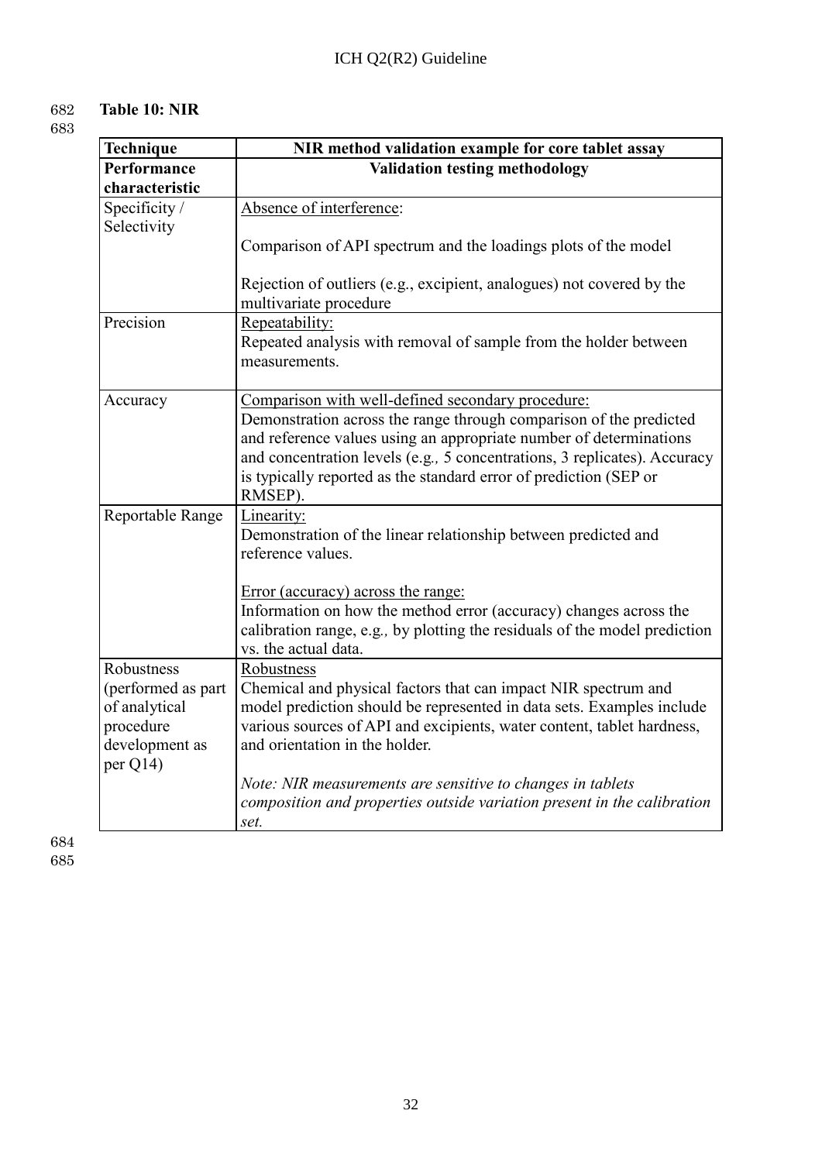# 682 **Table 10: NIR**

683

| Technique          | NIR method validation example for core tablet assay                                             |
|--------------------|-------------------------------------------------------------------------------------------------|
| Performance        | <b>Validation testing methodology</b>                                                           |
| characteristic     |                                                                                                 |
| Specificity/       | Absence of interference:                                                                        |
| Selectivity        |                                                                                                 |
|                    | Comparison of API spectrum and the loadings plots of the model                                  |
|                    | Rejection of outliers (e.g., excipient, analogues) not covered by the<br>multivariate procedure |
| Precision          | Repeatability:                                                                                  |
|                    | Repeated analysis with removal of sample from the holder between<br>measurements.               |
| Accuracy           | Comparison with well-defined secondary procedure:                                               |
|                    | Demonstration across the range through comparison of the predicted                              |
|                    | and reference values using an appropriate number of determinations                              |
|                    | and concentration levels (e.g., 5 concentrations, 3 replicates). Accuracy                       |
|                    | is typically reported as the standard error of prediction (SEP or<br>RMSEP).                    |
| Reportable Range   | Linearity:                                                                                      |
|                    | Demonstration of the linear relationship between predicted and                                  |
|                    | reference values.                                                                               |
|                    | Error (accuracy) across the range:                                                              |
|                    | Information on how the method error (accuracy) changes across the                               |
|                    | calibration range, e.g., by plotting the residuals of the model prediction                      |
|                    | vs. the actual data.                                                                            |
| Robustness         | Robustness                                                                                      |
| (performed as part | Chemical and physical factors that can impact NIR spectrum and                                  |
| of analytical      | model prediction should be represented in data sets. Examples include                           |
| procedure          | various sources of API and excipients, water content, tablet hardness,                          |
| development as     | and orientation in the holder.                                                                  |
| per Q14)           |                                                                                                 |
|                    | Note: NIR measurements are sensitive to changes in tablets                                      |
|                    | composition and properties outside variation present in the calibration                         |
|                    | set.                                                                                            |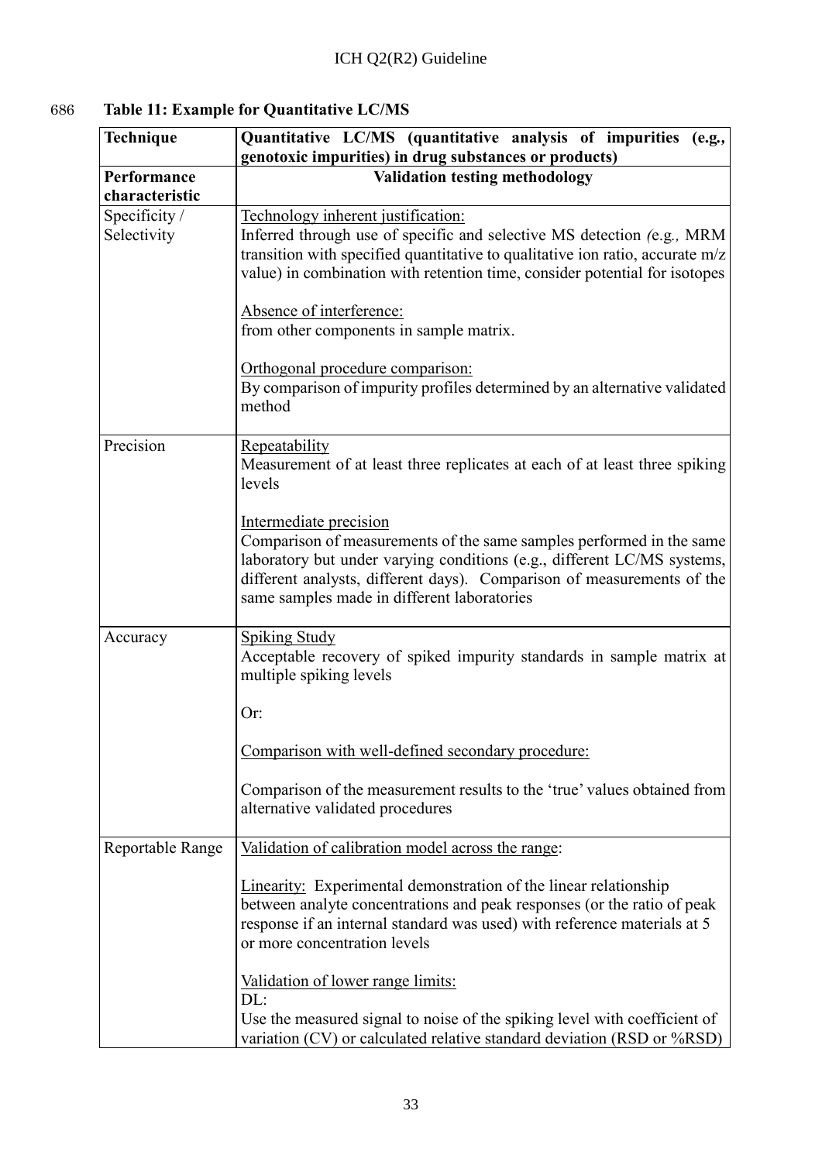# 686 **Table 11: Example for Quantitative LC/MS**

| Technique                     | Quantitative LC/MS (quantitative analysis of impurities<br>(e.g.,<br>genotoxic impurities) in drug substances or products)                                                                                                                                                                         |
|-------------------------------|----------------------------------------------------------------------------------------------------------------------------------------------------------------------------------------------------------------------------------------------------------------------------------------------------|
| Performance<br>characteristic | <b>Validation testing methodology</b>                                                                                                                                                                                                                                                              |
| Specificity /<br>Selectivity  | Technology inherent justification:<br>Inferred through use of specific and selective MS detection (e.g., MRM<br>transition with specified quantitative to qualitative ion ratio, accurate $m/z$<br>value) in combination with retention time, consider potential for isotopes                      |
|                               | Absence of interference:<br>from other components in sample matrix.                                                                                                                                                                                                                                |
|                               | Orthogonal procedure comparison:<br>By comparison of impurity profiles determined by an alternative validated<br>method                                                                                                                                                                            |
| Precision                     | Repeatability<br>Measurement of at least three replicates at each of at least three spiking<br>levels                                                                                                                                                                                              |
|                               | Intermediate precision<br>Comparison of measurements of the same samples performed in the same<br>laboratory but under varying conditions (e.g., different LC/MS systems,<br>different analysts, different days). Comparison of measurements of the<br>same samples made in different laboratories |
| Accuracy                      | <b>Spiking Study</b><br>Acceptable recovery of spiked impurity standards in sample matrix at<br>multiple spiking levels                                                                                                                                                                            |
|                               | Or:                                                                                                                                                                                                                                                                                                |
|                               | Comparison with well-defined secondary procedure:                                                                                                                                                                                                                                                  |
|                               | Comparison of the measurement results to the 'true' values obtained from<br>alternative validated procedures                                                                                                                                                                                       |
| Reportable Range              | Validation of calibration model across the range:                                                                                                                                                                                                                                                  |
|                               | <b>Linearity:</b> Experimental demonstration of the linear relationship<br>between analyte concentrations and peak responses (or the ratio of peak<br>response if an internal standard was used) with reference materials at 5<br>or more concentration levels                                     |
|                               | Validation of lower range limits:<br>DL:                                                                                                                                                                                                                                                           |
|                               | Use the measured signal to noise of the spiking level with coefficient of<br>variation (CV) or calculated relative standard deviation (RSD or %RSD)                                                                                                                                                |